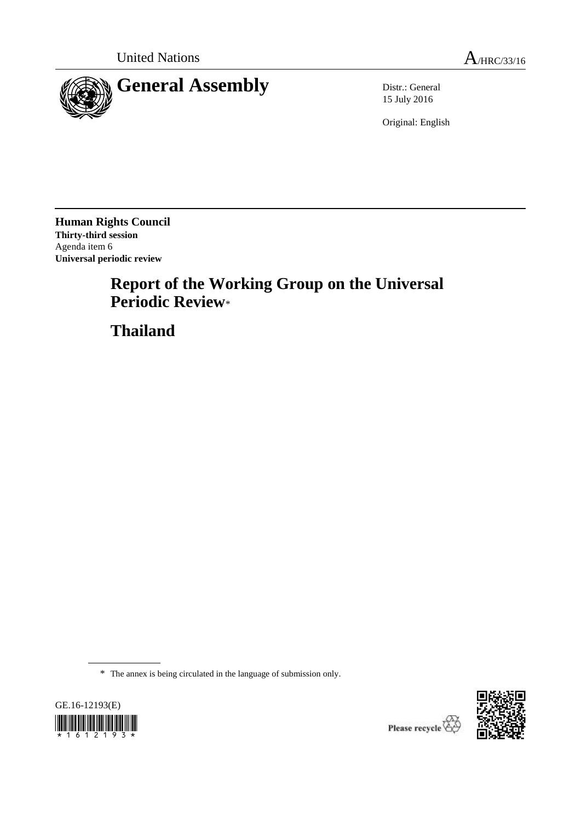

15 July 2016

Original: English

**Human Rights Council Thirty-third session** Agenda item 6 **Universal periodic review**

# **Report of the Working Group on the Universal Periodic Review**\*

**Thailand**

\* The annex is being circulated in the language of submission only.





Please recycle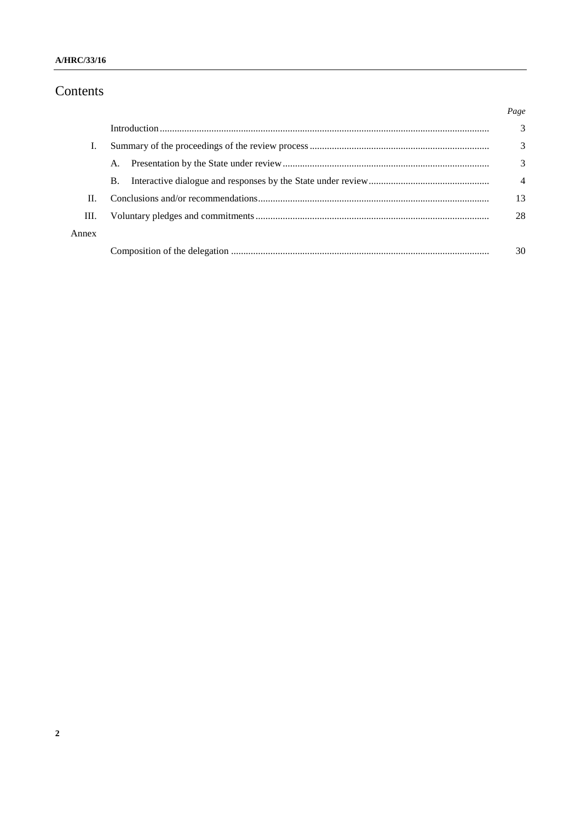#### A/HRC/33/16

# Contents

|       |           | Page           |
|-------|-----------|----------------|
|       |           | 3              |
| Ι.    |           | 3              |
|       | A.        | 3              |
|       | <b>B.</b> | $\overline{4}$ |
| П.    |           | 13             |
| Ш.    |           | 28             |
| Annex |           |                |
|       |           | 30             |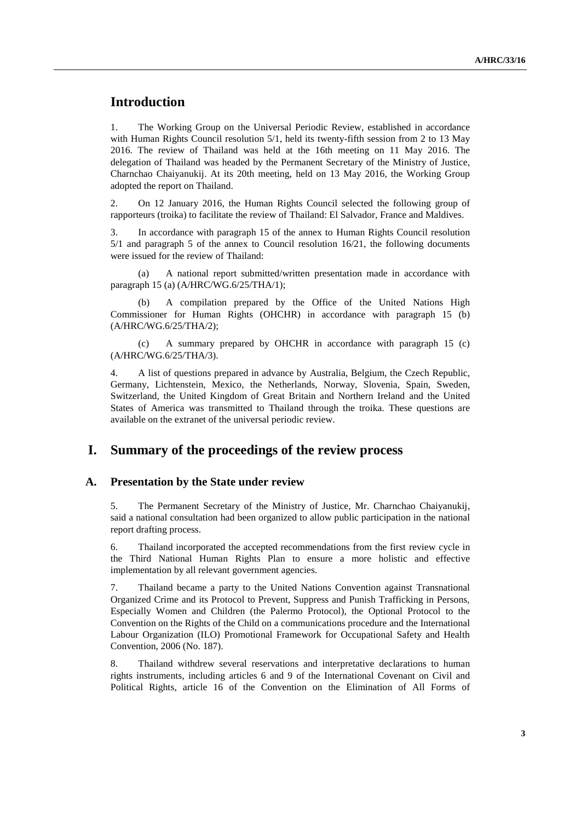# **Introduction**

1. The Working Group on the Universal Periodic Review, established in accordance with Human Rights Council resolution 5/1, held its twenty-fifth session from 2 to 13 May 2016. The review of Thailand was held at the 16th meeting on 11 May 2016. The delegation of Thailand was headed by the Permanent Secretary of the Ministry of Justice, Charnchao Chaiyanukij. At its 20th meeting, held on 13 May 2016, the Working Group adopted the report on Thailand.

2. On 12 January 2016, the Human Rights Council selected the following group of rapporteurs (troika) to facilitate the review of Thailand: El Salvador, France and Maldives.

3. In accordance with paragraph 15 of the annex to Human Rights Council resolution 5/1 and paragraph 5 of the annex to Council resolution 16/21, the following documents were issued for the review of Thailand:

(a) A national report submitted/written presentation made in accordance with paragraph 15 (a) (A/HRC/WG.6/25/THA/1);

(b) A compilation prepared by the Office of the United Nations High Commissioner for Human Rights (OHCHR) in accordance with paragraph 15 (b) (A/HRC/WG.6/25/THA/2);

(c) A summary prepared by OHCHR in accordance with paragraph 15 (c) (A/HRC/WG.6/25/THA/3).

4. A list of questions prepared in advance by Australia, Belgium, the Czech Republic, Germany, Lichtenstein, Mexico, the Netherlands, Norway, Slovenia, Spain, Sweden, Switzerland, the United Kingdom of Great Britain and Northern Ireland and the United States of America was transmitted to Thailand through the troika. These questions are available on the extranet of the universal periodic review.

### **I. Summary of the proceedings of the review process**

#### **A. Presentation by the State under review**

5. The Permanent Secretary of the Ministry of Justice, Mr. Charnchao Chaiyanukij, said a national consultation had been organized to allow public participation in the national report drafting process.

6. Thailand incorporated the accepted recommendations from the first review cycle in the Third National Human Rights Plan to ensure a more holistic and effective implementation by all relevant government agencies.

7. Thailand became a party to the United Nations Convention against Transnational Organized Crime and its Protocol to Prevent, Suppress and Punish Trafficking in Persons, Especially Women and Children (the Palermo Protocol), the Optional Protocol to the Convention on the Rights of the Child on a communications procedure and the International Labour Organization (ILO) Promotional Framework for Occupational Safety and Health Convention, 2006 (No. 187).

8. Thailand withdrew several reservations and interpretative declarations to human rights instruments, including articles 6 and 9 of the International Covenant on Civil and Political Rights, article 16 of the Convention on the Elimination of All Forms of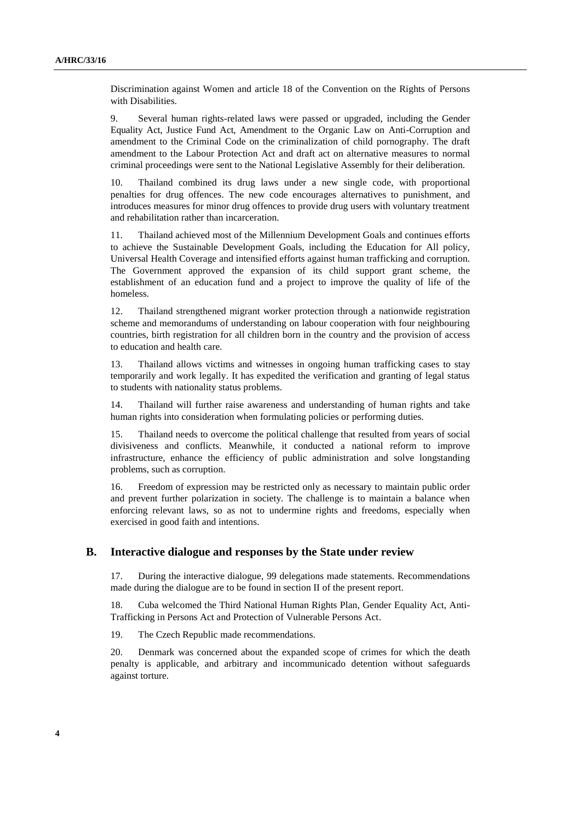Discrimination against Women and article 18 of the Convention on the Rights of Persons with Disabilities.

9. Several human rights-related laws were passed or upgraded, including the Gender Equality Act, Justice Fund Act, Amendment to the Organic Law on Anti-Corruption and amendment to the Criminal Code on the criminalization of child pornography. The draft amendment to the Labour Protection Act and draft act on alternative measures to normal criminal proceedings were sent to the National Legislative Assembly for their deliberation.

10. Thailand combined its drug laws under a new single code, with proportional penalties for drug offences. The new code encourages alternatives to punishment, and introduces measures for minor drug offences to provide drug users with voluntary treatment and rehabilitation rather than incarceration.

11. Thailand achieved most of the Millennium Development Goals and continues efforts to achieve the Sustainable Development Goals, including the Education for All policy, Universal Health Coverage and intensified efforts against human trafficking and corruption. The Government approved the expansion of its child support grant scheme, the establishment of an education fund and a project to improve the quality of life of the homeless.

12. Thailand strengthened migrant worker protection through a nationwide registration scheme and memorandums of understanding on labour cooperation with four neighbouring countries, birth registration for all children born in the country and the provision of access to education and health care.

13. Thailand allows victims and witnesses in ongoing human trafficking cases to stay temporarily and work legally. It has expedited the verification and granting of legal status to students with nationality status problems.

14. Thailand will further raise awareness and understanding of human rights and take human rights into consideration when formulating policies or performing duties.

15. Thailand needs to overcome the political challenge that resulted from years of social divisiveness and conflicts. Meanwhile, it conducted a national reform to improve infrastructure, enhance the efficiency of public administration and solve longstanding problems, such as corruption.

16. Freedom of expression may be restricted only as necessary to maintain public order and prevent further polarization in society. The challenge is to maintain a balance when enforcing relevant laws, so as not to undermine rights and freedoms, especially when exercised in good faith and intentions.

#### **B. Interactive dialogue and responses by the State under review**

17. During the interactive dialogue, 99 delegations made statements. Recommendations made during the dialogue are to be found in section II of the present report.

18. Cuba welcomed the Third National Human Rights Plan, Gender Equality Act, Anti-Trafficking in Persons Act and Protection of Vulnerable Persons Act.

19. The Czech Republic made recommendations.

20. Denmark was concerned about the expanded scope of crimes for which the death penalty is applicable, and arbitrary and incommunicado detention without safeguards against torture.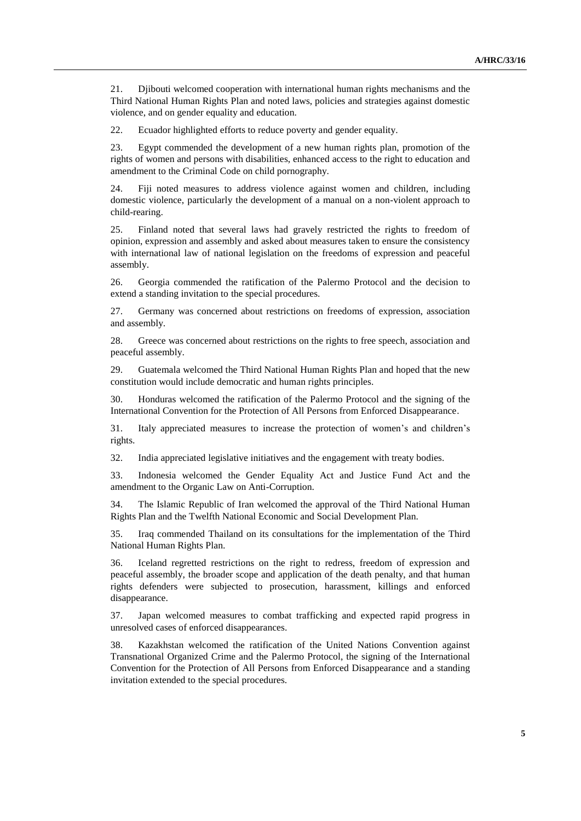21. Djibouti welcomed cooperation with international human rights mechanisms and the Third National Human Rights Plan and noted laws, policies and strategies against domestic violence, and on gender equality and education.

22. Ecuador highlighted efforts to reduce poverty and gender equality.

23. Egypt commended the development of a new human rights plan, promotion of the rights of women and persons with disabilities, enhanced access to the right to education and amendment to the Criminal Code on child pornography.

24. Fiji noted measures to address violence against women and children, including domestic violence, particularly the development of a manual on a non-violent approach to child-rearing.

25. Finland noted that several laws had gravely restricted the rights to freedom of opinion, expression and assembly and asked about measures taken to ensure the consistency with international law of national legislation on the freedoms of expression and peaceful assembly.

26. Georgia commended the ratification of the Palermo Protocol and the decision to extend a standing invitation to the special procedures.

27. Germany was concerned about restrictions on freedoms of expression, association and assembly.

28. Greece was concerned about restrictions on the rights to free speech, association and peaceful assembly.

29. Guatemala welcomed the Third National Human Rights Plan and hoped that the new constitution would include democratic and human rights principles.

30. Honduras welcomed the ratification of the Palermo Protocol and the signing of the International Convention for the Protection of All Persons from Enforced Disappearance.

31. Italy appreciated measures to increase the protection of women's and children's rights.

32. India appreciated legislative initiatives and the engagement with treaty bodies.

33. Indonesia welcomed the Gender Equality Act and Justice Fund Act and the amendment to the Organic Law on Anti-Corruption.

34. The Islamic Republic of Iran welcomed the approval of the Third National Human Rights Plan and the Twelfth National Economic and Social Development Plan.

35. Iraq commended Thailand on its consultations for the implementation of the Third National Human Rights Plan.

36. Iceland regretted restrictions on the right to redress, freedom of expression and peaceful assembly, the broader scope and application of the death penalty, and that human rights defenders were subjected to prosecution, harassment, killings and enforced disappearance.

37. Japan welcomed measures to combat trafficking and expected rapid progress in unresolved cases of enforced disappearances.

38. Kazakhstan welcomed the ratification of the United Nations Convention against Transnational Organized Crime and the Palermo Protocol, the signing of the International Convention for the Protection of All Persons from Enforced Disappearance and a standing invitation extended to the special procedures.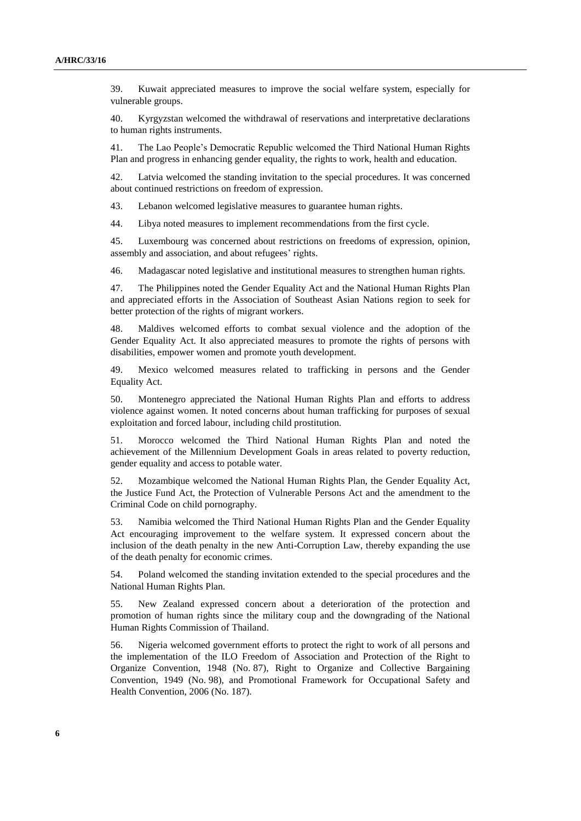39. Kuwait appreciated measures to improve the social welfare system, especially for vulnerable groups.

40. Kyrgyzstan welcomed the withdrawal of reservations and interpretative declarations to human rights instruments.

41. The Lao People's Democratic Republic welcomed the Third National Human Rights Plan and progress in enhancing gender equality, the rights to work, health and education.

42. Latvia welcomed the standing invitation to the special procedures. It was concerned about continued restrictions on freedom of expression.

43. Lebanon welcomed legislative measures to guarantee human rights.

44. Libya noted measures to implement recommendations from the first cycle.

45. Luxembourg was concerned about restrictions on freedoms of expression, opinion, assembly and association, and about refugees' rights.

46. Madagascar noted legislative and institutional measures to strengthen human rights.

47. The Philippines noted the Gender Equality Act and the National Human Rights Plan and appreciated efforts in the Association of Southeast Asian Nations region to seek for better protection of the rights of migrant workers.

48. Maldives welcomed efforts to combat sexual violence and the adoption of the Gender Equality Act. It also appreciated measures to promote the rights of persons with disabilities, empower women and promote youth development.

49. Mexico welcomed measures related to trafficking in persons and the Gender Equality Act.

50. Montenegro appreciated the National Human Rights Plan and efforts to address violence against women. It noted concerns about human trafficking for purposes of sexual exploitation and forced labour, including child prostitution.

51. Morocco welcomed the Third National Human Rights Plan and noted the achievement of the Millennium Development Goals in areas related to poverty reduction, gender equality and access to potable water.

52. Mozambique welcomed the National Human Rights Plan, the Gender Equality Act, the Justice Fund Act, the Protection of Vulnerable Persons Act and the amendment to the Criminal Code on child pornography.

53. Namibia welcomed the Third National Human Rights Plan and the Gender Equality Act encouraging improvement to the welfare system. It expressed concern about the inclusion of the death penalty in the new Anti-Corruption Law, thereby expanding the use of the death penalty for economic crimes.

54. Poland welcomed the standing invitation extended to the special procedures and the National Human Rights Plan.

55. New Zealand expressed concern about a deterioration of the protection and promotion of human rights since the military coup and the downgrading of the National Human Rights Commission of Thailand.

56. Nigeria welcomed government efforts to protect the right to work of all persons and the implementation of the ILO Freedom of Association and Protection of the Right to Organize Convention, 1948 (No. 87), Right to Organize and Collective Bargaining Convention, 1949 (No. 98), and Promotional Framework for Occupational Safety and Health Convention, 2006 (No. 187).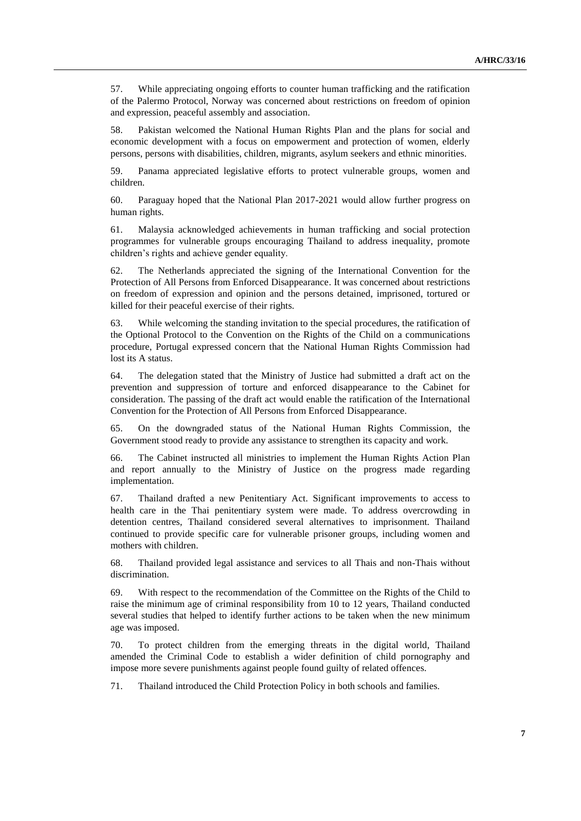57. While appreciating ongoing efforts to counter human trafficking and the ratification of the Palermo Protocol, Norway was concerned about restrictions on freedom of opinion and expression, peaceful assembly and association.

58. Pakistan welcomed the National Human Rights Plan and the plans for social and economic development with a focus on empowerment and protection of women, elderly persons, persons with disabilities, children, migrants, asylum seekers and ethnic minorities.

59. Panama appreciated legislative efforts to protect vulnerable groups, women and children.

60. Paraguay hoped that the National Plan 2017-2021 would allow further progress on human rights.

61. Malaysia acknowledged achievements in human trafficking and social protection programmes for vulnerable groups encouraging Thailand to address inequality, promote children's rights and achieve gender equality.

62. The Netherlands appreciated the signing of the International Convention for the Protection of All Persons from Enforced Disappearance. It was concerned about restrictions on freedom of expression and opinion and the persons detained, imprisoned, tortured or killed for their peaceful exercise of their rights.

63. While welcoming the standing invitation to the special procedures, the ratification of the Optional Protocol to the Convention on the Rights of the Child on a communications procedure, Portugal expressed concern that the National Human Rights Commission had lost its A status.

64. The delegation stated that the Ministry of Justice had submitted a draft act on the prevention and suppression of torture and enforced disappearance to the Cabinet for consideration. The passing of the draft act would enable the ratification of the International Convention for the Protection of All Persons from Enforced Disappearance.

65. On the downgraded status of the National Human Rights Commission, the Government stood ready to provide any assistance to strengthen its capacity and work.

66. The Cabinet instructed all ministries to implement the Human Rights Action Plan and report annually to the Ministry of Justice on the progress made regarding implementation.

67. Thailand drafted a new Penitentiary Act. Significant improvements to access to health care in the Thai penitentiary system were made. To address overcrowding in detention centres, Thailand considered several alternatives to imprisonment. Thailand continued to provide specific care for vulnerable prisoner groups, including women and mothers with children.

68. Thailand provided legal assistance and services to all Thais and non-Thais without discrimination.

69. With respect to the recommendation of the Committee on the Rights of the Child to raise the minimum age of criminal responsibility from 10 to 12 years, Thailand conducted several studies that helped to identify further actions to be taken when the new minimum age was imposed.

70. To protect children from the emerging threats in the digital world, Thailand amended the Criminal Code to establish a wider definition of child pornography and impose more severe punishments against people found guilty of related offences.

71. Thailand introduced the Child Protection Policy in both schools and families.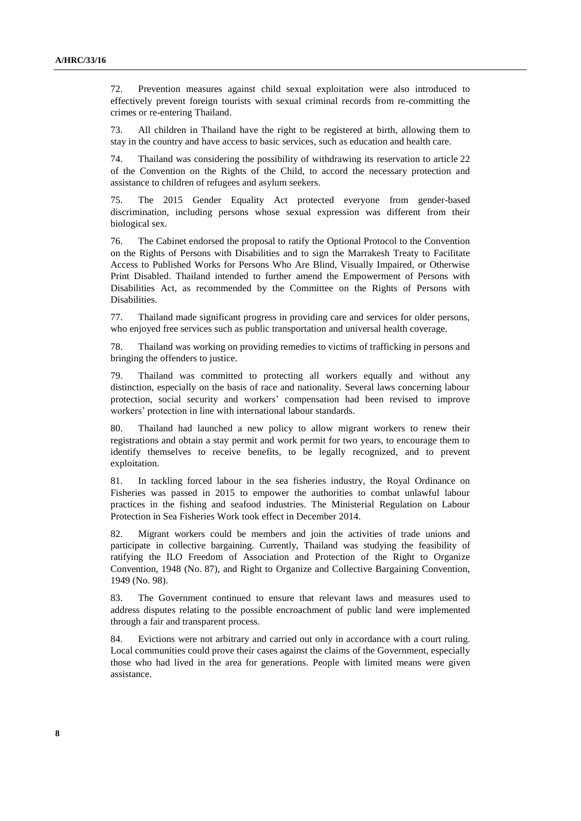72. Prevention measures against child sexual exploitation were also introduced to effectively prevent foreign tourists with sexual criminal records from re-committing the crimes or re-entering Thailand.

73. All children in Thailand have the right to be registered at birth, allowing them to stay in the country and have access to basic services, such as education and health care.

74. Thailand was considering the possibility of withdrawing its reservation to article 22 of the Convention on the Rights of the Child, to accord the necessary protection and assistance to children of refugees and asylum seekers.

75. The 2015 Gender Equality Act protected everyone from gender-based discrimination, including persons whose sexual expression was different from their biological sex.

76. The Cabinet endorsed the proposal to ratify the Optional Protocol to the Convention on the Rights of Persons with Disabilities and to sign the Marrakesh Treaty to Facilitate Access to Published Works for Persons Who Are Blind, Visually Impaired, or Otherwise Print Disabled. Thailand intended to further amend the Empowerment of Persons with Disabilities Act, as recommended by the Committee on the Rights of Persons with Disabilities.

77. Thailand made significant progress in providing care and services for older persons, who enjoyed free services such as public transportation and universal health coverage.

78. Thailand was working on providing remedies to victims of trafficking in persons and bringing the offenders to justice.

79. Thailand was committed to protecting all workers equally and without any distinction, especially on the basis of race and nationality. Several laws concerning labour protection, social security and workers' compensation had been revised to improve workers' protection in line with international labour standards.

80. Thailand had launched a new policy to allow migrant workers to renew their registrations and obtain a stay permit and work permit for two years, to encourage them to identify themselves to receive benefits, to be legally recognized, and to prevent exploitation.

81. In tackling forced labour in the sea fisheries industry, the Royal Ordinance on Fisheries was passed in 2015 to empower the authorities to combat unlawful labour practices in the fishing and seafood industries. The Ministerial Regulation on Labour Protection in Sea Fisheries Work took effect in December 2014.

82. Migrant workers could be members and join the activities of trade unions and participate in collective bargaining. Currently, Thailand was studying the feasibility of ratifying the ILO Freedom of Association and Protection of the Right to Organize Convention, 1948 (No. 87), and Right to Organize and Collective Bargaining Convention, 1949 (No. 98).

83. The Government continued to ensure that relevant laws and measures used to address disputes relating to the possible encroachment of public land were implemented through a fair and transparent process.

84. Evictions were not arbitrary and carried out only in accordance with a court ruling. Local communities could prove their cases against the claims of the Government, especially those who had lived in the area for generations. People with limited means were given assistance.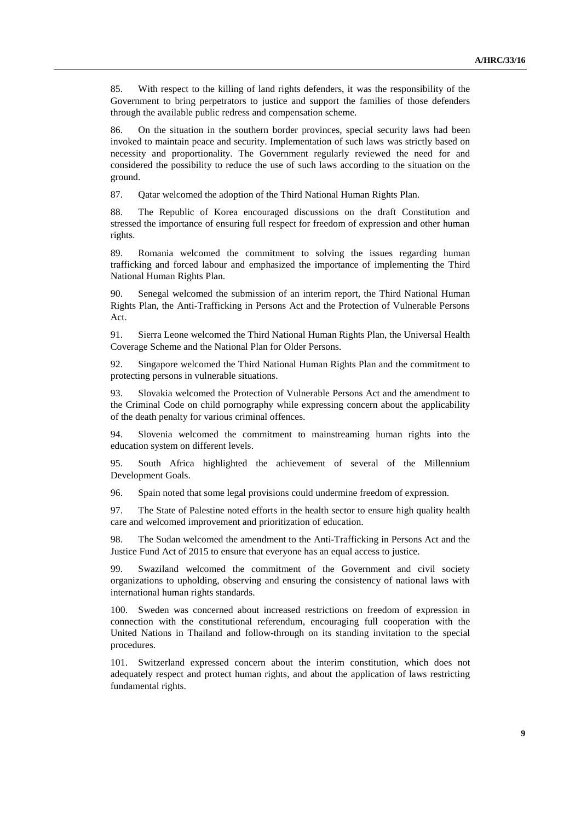85. With respect to the killing of land rights defenders, it was the responsibility of the Government to bring perpetrators to justice and support the families of those defenders through the available public redress and compensation scheme.

86. On the situation in the southern border provinces, special security laws had been invoked to maintain peace and security. Implementation of such laws was strictly based on necessity and proportionality. The Government regularly reviewed the need for and considered the possibility to reduce the use of such laws according to the situation on the ground.

87. Qatar welcomed the adoption of the Third National Human Rights Plan.

88. The Republic of Korea encouraged discussions on the draft Constitution and stressed the importance of ensuring full respect for freedom of expression and other human rights.

89. Romania welcomed the commitment to solving the issues regarding human trafficking and forced labour and emphasized the importance of implementing the Third National Human Rights Plan.

90. Senegal welcomed the submission of an interim report, the Third National Human Rights Plan, the Anti-Trafficking in Persons Act and the Protection of Vulnerable Persons Act.

91. Sierra Leone welcomed the Third National Human Rights Plan, the Universal Health Coverage Scheme and the National Plan for Older Persons.

92. Singapore welcomed the Third National Human Rights Plan and the commitment to protecting persons in vulnerable situations.

93. Slovakia welcomed the Protection of Vulnerable Persons Act and the amendment to the Criminal Code on child pornography while expressing concern about the applicability of the death penalty for various criminal offences.

94. Slovenia welcomed the commitment to mainstreaming human rights into the education system on different levels.

95. South Africa highlighted the achievement of several of the Millennium Development Goals.

96. Spain noted that some legal provisions could undermine freedom of expression.

97. The State of Palestine noted efforts in the health sector to ensure high quality health care and welcomed improvement and prioritization of education.

98. The Sudan welcomed the amendment to the Anti-Trafficking in Persons Act and the Justice Fund Act of 2015 to ensure that everyone has an equal access to justice.

99. Swaziland welcomed the commitment of the Government and civil society organizations to upholding, observing and ensuring the consistency of national laws with international human rights standards.

100. Sweden was concerned about increased restrictions on freedom of expression in connection with the constitutional referendum, encouraging full cooperation with the United Nations in Thailand and follow-through on its standing invitation to the special procedures.

101. Switzerland expressed concern about the interim constitution, which does not adequately respect and protect human rights, and about the application of laws restricting fundamental rights.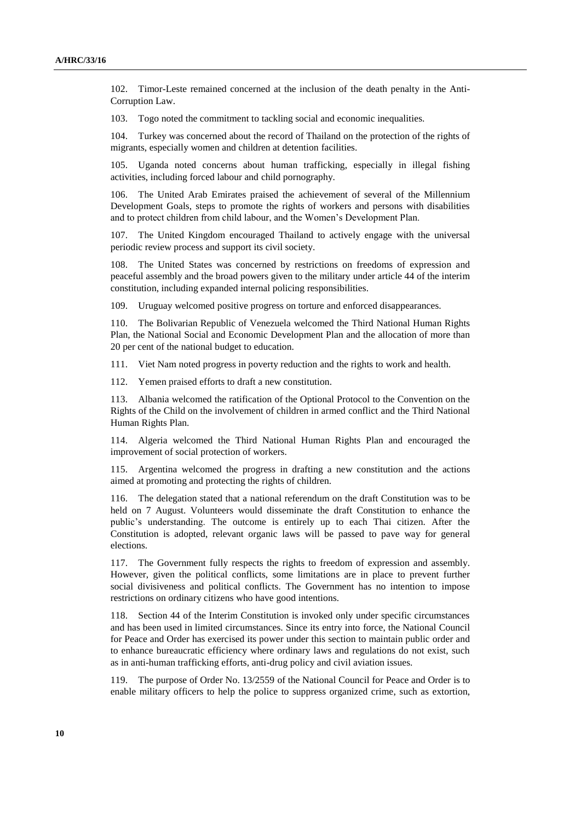102. Timor-Leste remained concerned at the inclusion of the death penalty in the Anti-Corruption Law.

103. Togo noted the commitment to tackling social and economic inequalities.

104. Turkey was concerned about the record of Thailand on the protection of the rights of migrants, especially women and children at detention facilities.

105. Uganda noted concerns about human trafficking, especially in illegal fishing activities, including forced labour and child pornography.

106. The United Arab Emirates praised the achievement of several of the Millennium Development Goals, steps to promote the rights of workers and persons with disabilities and to protect children from child labour, and the Women's Development Plan.

The United Kingdom encouraged Thailand to actively engage with the universal periodic review process and support its civil society.

108. The United States was concerned by restrictions on freedoms of expression and peaceful assembly and the broad powers given to the military under article 44 of the interim constitution, including expanded internal policing responsibilities.

109. Uruguay welcomed positive progress on torture and enforced disappearances.

110. The Bolivarian Republic of Venezuela welcomed the Third National Human Rights Plan, the National Social and Economic Development Plan and the allocation of more than 20 per cent of the national budget to education.

111. Viet Nam noted progress in poverty reduction and the rights to work and health.

112. Yemen praised efforts to draft a new constitution.

113. Albania welcomed the ratification of the Optional Protocol to the Convention on the Rights of the Child on the involvement of children in armed conflict and the Third National Human Rights Plan.

114. Algeria welcomed the Third National Human Rights Plan and encouraged the improvement of social protection of workers.

115. Argentina welcomed the progress in drafting a new constitution and the actions aimed at promoting and protecting the rights of children.

116. The delegation stated that a national referendum on the draft Constitution was to be held on 7 August. Volunteers would disseminate the draft Constitution to enhance the public's understanding. The outcome is entirely up to each Thai citizen. After the Constitution is adopted, relevant organic laws will be passed to pave way for general elections.

117. The Government fully respects the rights to freedom of expression and assembly. However, given the political conflicts, some limitations are in place to prevent further social divisiveness and political conflicts. The Government has no intention to impose restrictions on ordinary citizens who have good intentions.

118. Section 44 of the Interim Constitution is invoked only under specific circumstances and has been used in limited circumstances. Since its entry into force, the National Council for Peace and Order has exercised its power under this section to maintain public order and to enhance bureaucratic efficiency where ordinary laws and regulations do not exist, such as in anti-human trafficking efforts, anti-drug policy and civil aviation issues.

119. The purpose of Order No. 13/2559 of the National Council for Peace and Order is to enable military officers to help the police to suppress organized crime, such as extortion,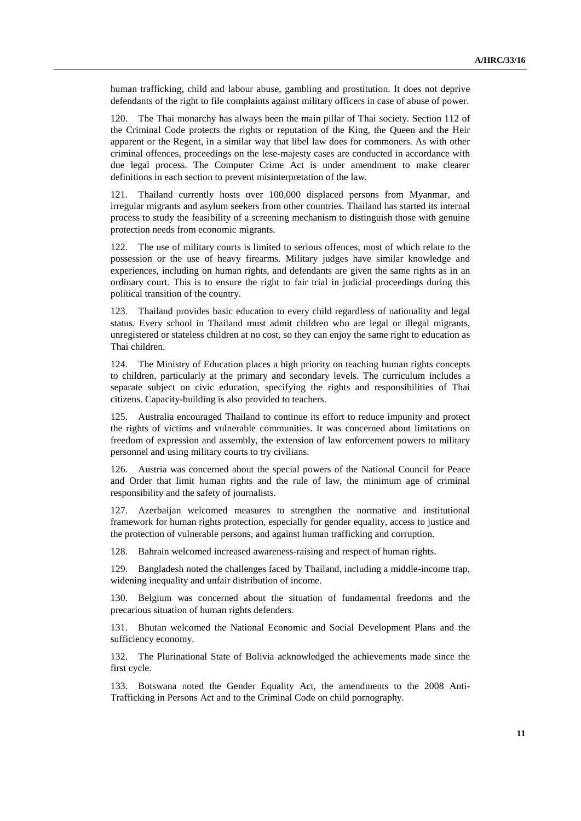human trafficking, child and labour abuse, gambling and prostitution. It does not deprive defendants of the right to file complaints against military officers in case of abuse of power.

120. The Thai monarchy has always been the main pillar of Thai society. Section 112 of the Criminal Code protects the rights or reputation of the King, the Queen and the Heir apparent or the Regent, in a similar way that libel law does for commoners. As with other criminal offences, proceedings on the lese-majesty cases are conducted in accordance with due legal process. The Computer Crime Act is under amendment to make clearer definitions in each section to prevent misinterpretation of the law.

121. Thailand currently hosts over 100,000 displaced persons from Myanmar, and irregular migrants and asylum seekers from other countries. Thailand has started its internal process to study the feasibility of a screening mechanism to distinguish those with genuine protection needs from economic migrants.

122. The use of military courts is limited to serious offences, most of which relate to the possession or the use of heavy firearms. Military judges have similar knowledge and experiences, including on human rights, and defendants are given the same rights as in an ordinary court. This is to ensure the right to fair trial in judicial proceedings during this political transition of the country.

123. Thailand provides basic education to every child regardless of nationality and legal status. Every school in Thailand must admit children who are legal or illegal migrants, unregistered or stateless children at no cost, so they can enjoy the same right to education as Thai children.

124. The Ministry of Education places a high priority on teaching human rights concepts to children, particularly at the primary and secondary levels. The curriculum includes a separate subject on civic education, specifying the rights and responsibilities of Thai citizens. Capacity-building is also provided to teachers.

125. Australia encouraged Thailand to continue its effort to reduce impunity and protect the rights of victims and vulnerable communities. It was concerned about limitations on freedom of expression and assembly, the extension of law enforcement powers to military personnel and using military courts to try civilians.

126. Austria was concerned about the special powers of the National Council for Peace and Order that limit human rights and the rule of law, the minimum age of criminal responsibility and the safety of journalists.

127. Azerbaijan welcomed measures to strengthen the normative and institutional framework for human rights protection, especially for gender equality, access to justice and the protection of vulnerable persons, and against human trafficking and corruption.

128. Bahrain welcomed increased awareness-raising and respect of human rights.

129. Bangladesh noted the challenges faced by Thailand, including a middle-income trap, widening inequality and unfair distribution of income.

130. Belgium was concerned about the situation of fundamental freedoms and the precarious situation of human rights defenders.

131. Bhutan welcomed the National Economic and Social Development Plans and the sufficiency economy.

132. The Plurinational State of Bolivia acknowledged the achievements made since the first cycle.

133. Botswana noted the Gender Equality Act, the amendments to the 2008 Anti-Trafficking in Persons Act and to the Criminal Code on child pornography.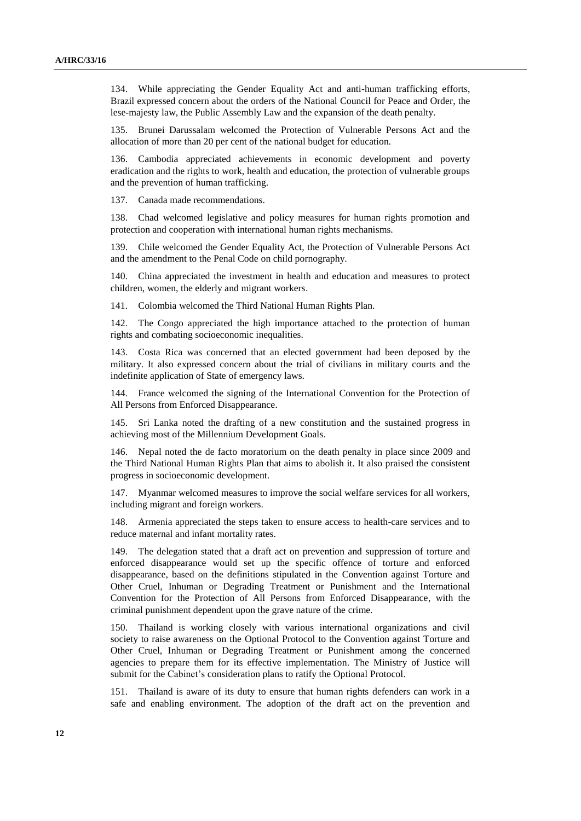134. While appreciating the Gender Equality Act and anti-human trafficking efforts, Brazil expressed concern about the orders of the National Council for Peace and Order, the lese-majesty law, the Public Assembly Law and the expansion of the death penalty.

135. Brunei Darussalam welcomed the Protection of Vulnerable Persons Act and the allocation of more than 20 per cent of the national budget for education.

136. Cambodia appreciated achievements in economic development and poverty eradication and the rights to work, health and education, the protection of vulnerable groups and the prevention of human trafficking.

137. Canada made recommendations.

138. Chad welcomed legislative and policy measures for human rights promotion and protection and cooperation with international human rights mechanisms.

139. Chile welcomed the Gender Equality Act, the Protection of Vulnerable Persons Act and the amendment to the Penal Code on child pornography.

140. China appreciated the investment in health and education and measures to protect children, women, the elderly and migrant workers.

141. Colombia welcomed the Third National Human Rights Plan.

142. The Congo appreciated the high importance attached to the protection of human rights and combating socioeconomic inequalities.

143. Costa Rica was concerned that an elected government had been deposed by the military. It also expressed concern about the trial of civilians in military courts and the indefinite application of State of emergency laws.

144. France welcomed the signing of the International Convention for the Protection of All Persons from Enforced Disappearance.

145. Sri Lanka noted the drafting of a new constitution and the sustained progress in achieving most of the Millennium Development Goals.

146. Nepal noted the de facto moratorium on the death penalty in place since 2009 and the Third National Human Rights Plan that aims to abolish it. It also praised the consistent progress in socioeconomic development.

147. Myanmar welcomed measures to improve the social welfare services for all workers, including migrant and foreign workers.

148. Armenia appreciated the steps taken to ensure access to health-care services and to reduce maternal and infant mortality rates.

149. The delegation stated that a draft act on prevention and suppression of torture and enforced disappearance would set up the specific offence of torture and enforced disappearance, based on the definitions stipulated in the Convention against Torture and Other Cruel, Inhuman or Degrading Treatment or Punishment and the International Convention for the Protection of All Persons from Enforced Disappearance, with the criminal punishment dependent upon the grave nature of the crime.

150. Thailand is working closely with various international organizations and civil society to raise awareness on the Optional Protocol to the Convention against Torture and Other Cruel, Inhuman or Degrading Treatment or Punishment among the concerned agencies to prepare them for its effective implementation. The Ministry of Justice will submit for the Cabinet's consideration plans to ratify the Optional Protocol.

151. Thailand is aware of its duty to ensure that human rights defenders can work in a safe and enabling environment. The adoption of the draft act on the prevention and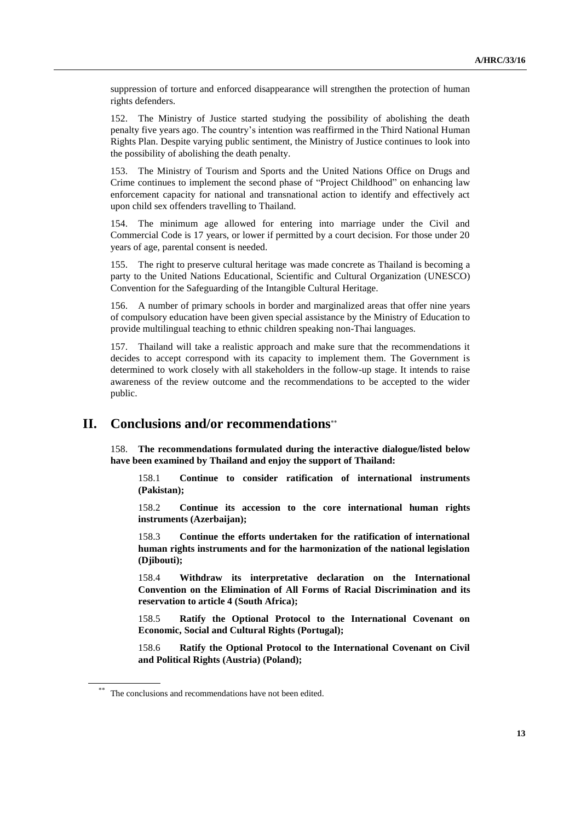suppression of torture and enforced disappearance will strengthen the protection of human rights defenders.

152. The Ministry of Justice started studying the possibility of abolishing the death penalty five years ago. The country's intention was reaffirmed in the Third National Human Rights Plan. Despite varying public sentiment, the Ministry of Justice continues to look into the possibility of abolishing the death penalty.

153. The Ministry of Tourism and Sports and the United Nations Office on Drugs and Crime continues to implement the second phase of "Project Childhood" on enhancing law enforcement capacity for national and transnational action to identify and effectively act upon child sex offenders travelling to Thailand.

154. The minimum age allowed for entering into marriage under the Civil and Commercial Code is 17 years, or lower if permitted by a court decision. For those under 20 years of age, parental consent is needed.

155. The right to preserve cultural heritage was made concrete as Thailand is becoming a party to the United Nations Educational, Scientific and Cultural Organization (UNESCO) Convention for the Safeguarding of the Intangible Cultural Heritage.

156. A number of primary schools in border and marginalized areas that offer nine years of compulsory education have been given special assistance by the Ministry of Education to provide multilingual teaching to ethnic children speaking non-Thai languages.

157. Thailand will take a realistic approach and make sure that the recommendations it decides to accept correspond with its capacity to implement them. The Government is determined to work closely with all stakeholders in the follow-up stage. It intends to raise awareness of the review outcome and the recommendations to be accepted to the wider public.

## **II. Conclusions and/or recommendations**

158. **The recommendations formulated during the interactive dialogue/listed below have been examined by Thailand and enjoy the support of Thailand:**

158.1 **Continue to consider ratification of international instruments (Pakistan);**

158.2 **Continue its accession to the core international human rights instruments (Azerbaijan);**

158.3 **Continue the efforts undertaken for the ratification of international human rights instruments and for the harmonization of the national legislation (Djibouti);**

158.4 **Withdraw its interpretative declaration on the International Convention on the Elimination of All Forms of Racial Discrimination and its reservation to article 4 (South Africa);**

158.5 **Ratify the Optional Protocol to the International Covenant on Economic, Social and Cultural Rights (Portugal);**

158.6 **Ratify the Optional Protocol to the International Covenant on Civil and Political Rights (Austria) (Poland);**

The conclusions and recommendations have not been edited.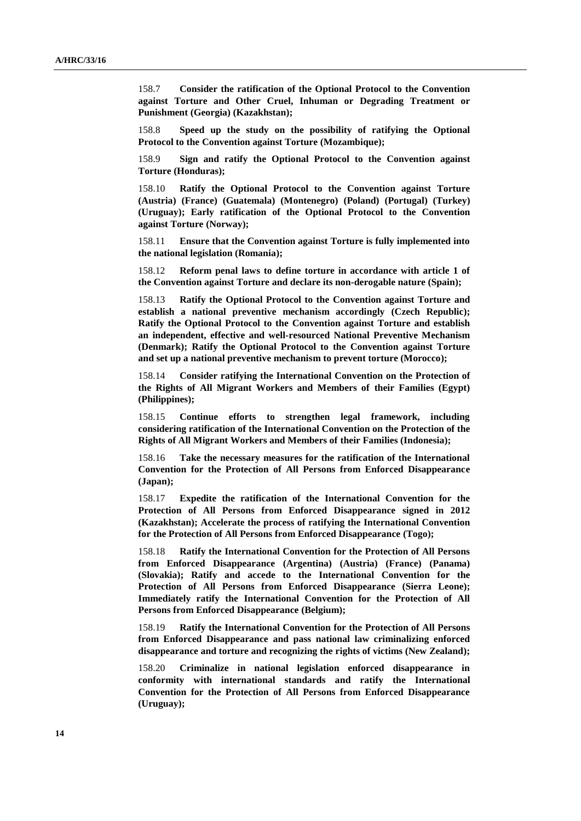158.7 **Consider the ratification of the Optional Protocol to the Convention against Torture and Other Cruel, Inhuman or Degrading Treatment or Punishment (Georgia) (Kazakhstan);**

158.8 **Speed up the study on the possibility of ratifying the Optional Protocol to the Convention against Torture (Mozambique);**

158.9 **Sign and ratify the Optional Protocol to the Convention against Torture (Honduras);**

158.10 **Ratify the Optional Protocol to the Convention against Torture (Austria) (France) (Guatemala) (Montenegro) (Poland) (Portugal) (Turkey) (Uruguay); Early ratification of the Optional Protocol to the Convention against Torture (Norway);**

158.11 **Ensure that the Convention against Torture is fully implemented into the national legislation (Romania);**

158.12 **Reform penal laws to define torture in accordance with article 1 of the Convention against Torture and declare its non-derogable nature (Spain);**

158.13 **Ratify the Optional Protocol to the Convention against Torture and establish a national preventive mechanism accordingly (Czech Republic); Ratify the Optional Protocol to the Convention against Torture and establish an independent, effective and well-resourced National Preventive Mechanism (Denmark); Ratify the Optional Protocol to the Convention against Torture and set up a national preventive mechanism to prevent torture (Morocco);**

158.14 **Consider ratifying the International Convention on the Protection of the Rights of All Migrant Workers and Members of their Families (Egypt) (Philippines);**

158.15 **Continue efforts to strengthen legal framework, including considering ratification of the International Convention on the Protection of the Rights of All Migrant Workers and Members of their Families (Indonesia);**

158.16 **Take the necessary measures for the ratification of the International Convention for the Protection of All Persons from Enforced Disappearance (Japan);**

158.17 **Expedite the ratification of the International Convention for the Protection of All Persons from Enforced Disappearance signed in 2012 (Kazakhstan); Accelerate the process of ratifying the International Convention for the Protection of All Persons from Enforced Disappearance (Togo);**

158.18 **Ratify the International Convention for the Protection of All Persons from Enforced Disappearance (Argentina) (Austria) (France) (Panama) (Slovakia); Ratify and accede to the International Convention for the Protection of All Persons from Enforced Disappearance (Sierra Leone); Immediately ratify the International Convention for the Protection of All Persons from Enforced Disappearance (Belgium);**

158.19 **Ratify the International Convention for the Protection of All Persons from Enforced Disappearance and pass national law criminalizing enforced disappearance and torture and recognizing the rights of victims (New Zealand);**

158.20 **Criminalize in national legislation enforced disappearance in conformity with international standards and ratify the International Convention for the Protection of All Persons from Enforced Disappearance (Uruguay);**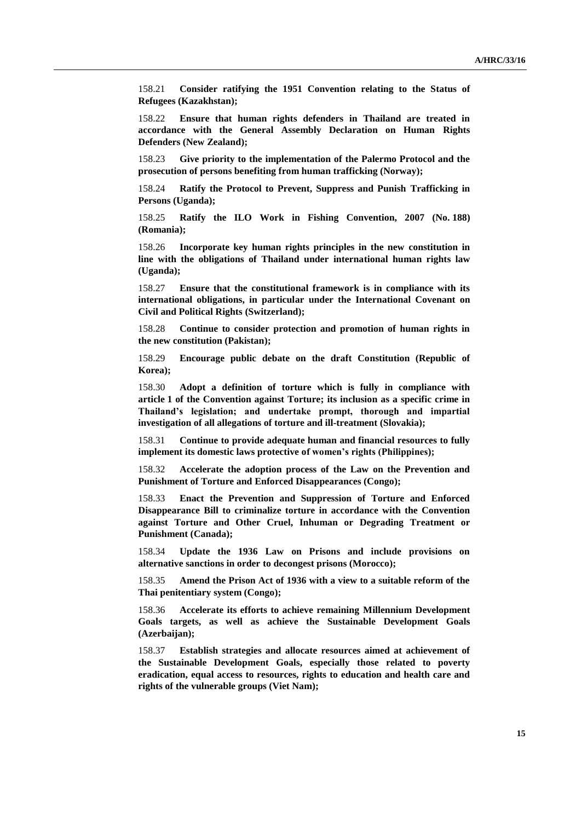158.21 **Consider ratifying the 1951 Convention relating to the Status of Refugees (Kazakhstan);**

158.22 **Ensure that human rights defenders in Thailand are treated in accordance with the General Assembly Declaration on Human Rights Defenders (New Zealand);**

158.23 **Give priority to the implementation of the Palermo Protocol and the prosecution of persons benefiting from human trafficking (Norway);**

158.24 **Ratify the Protocol to Prevent, Suppress and Punish Trafficking in Persons (Uganda);**

158.25 **Ratify the ILO Work in Fishing Convention, 2007 (No. 188) (Romania);**

158.26 **Incorporate key human rights principles in the new constitution in line with the obligations of Thailand under international human rights law (Uganda);**

158.27 **Ensure that the constitutional framework is in compliance with its international obligations, in particular under the International Covenant on Civil and Political Rights (Switzerland);**

158.28 **Continue to consider protection and promotion of human rights in the new constitution (Pakistan);**

158.29 **Encourage public debate on the draft Constitution (Republic of Korea);**

158.30 **Adopt a definition of torture which is fully in compliance with article 1 of the Convention against Torture; its inclusion as a specific crime in Thailand's legislation; and undertake prompt, thorough and impartial investigation of all allegations of torture and ill-treatment (Slovakia);**

158.31 **Continue to provide adequate human and financial resources to fully implement its domestic laws protective of women's rights (Philippines);**

158.32 **Accelerate the adoption process of the Law on the Prevention and Punishment of Torture and Enforced Disappearances (Congo);**

158.33 **Enact the Prevention and Suppression of Torture and Enforced Disappearance Bill to criminalize torture in accordance with the Convention against Torture and Other Cruel, Inhuman or Degrading Treatment or Punishment (Canada);** 

158.34 **Update the 1936 Law on Prisons and include provisions on alternative sanctions in order to decongest prisons (Morocco);**

158.35 **Amend the Prison Act of 1936 with a view to a suitable reform of the Thai penitentiary system (Congo);** 

158.36 **Accelerate its efforts to achieve remaining Millennium Development Goals targets, as well as achieve the Sustainable Development Goals (Azerbaijan);**

158.37 **Establish strategies and allocate resources aimed at achievement of the Sustainable Development Goals, especially those related to poverty eradication, equal access to resources, rights to education and health care and rights of the vulnerable groups (Viet Nam);**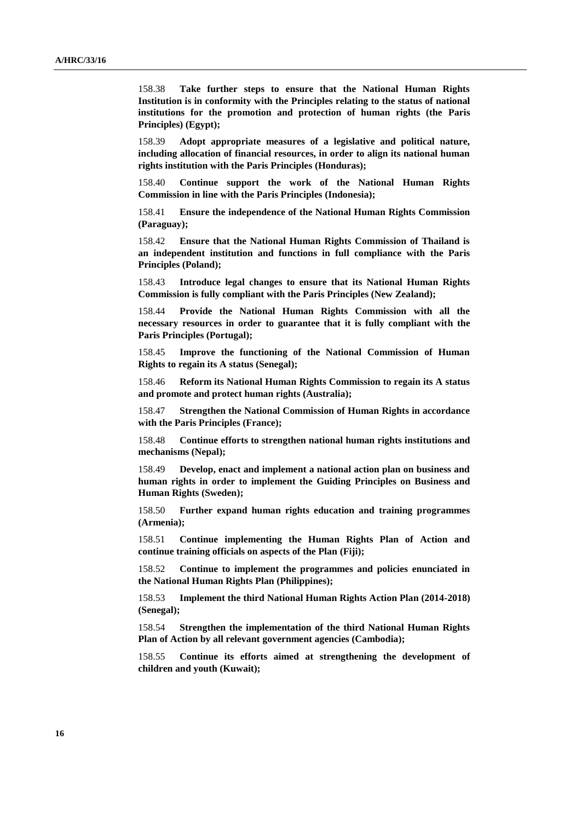158.38 **Take further steps to ensure that the National Human Rights Institution is in conformity with the Principles relating to the status of national institutions for the promotion and protection of human rights (the Paris Principles) (Egypt);**

158.39 **Adopt appropriate measures of a legislative and political nature, including allocation of financial resources, in order to align its national human rights institution with the Paris Principles (Honduras);**

158.40 **Continue support the work of the National Human Rights Commission in line with the Paris Principles (Indonesia);**

158.41 **Ensure the independence of the National Human Rights Commission (Paraguay);**

158.42 **Ensure that the National Human Rights Commission of Thailand is an independent institution and functions in full compliance with the Paris Principles (Poland);**

158.43 **Introduce legal changes to ensure that its National Human Rights Commission is fully compliant with the Paris Principles (New Zealand);**

158.44 **Provide the National Human Rights Commission with all the necessary resources in order to guarantee that it is fully compliant with the Paris Principles (Portugal);**

158.45 **Improve the functioning of the National Commission of Human Rights to regain its A status (Senegal);**

158.46 **Reform its National Human Rights Commission to regain its A status and promote and protect human rights (Australia);**

158.47 **Strengthen the National Commission of Human Rights in accordance with the Paris Principles (France);**

158.48 **Continue efforts to strengthen national human rights institutions and mechanisms (Nepal);**

158.49 **Develop, enact and implement a national action plan on business and human rights in order to implement the Guiding Principles on Business and Human Rights (Sweden);**

158.50 **Further expand human rights education and training programmes (Armenia);**

158.51 **Continue implementing the Human Rights Plan of Action and continue training officials on aspects of the Plan (Fiji);**

158.52 **Continue to implement the programmes and policies enunciated in the National Human Rights Plan (Philippines);**

158.53 **Implement the third National Human Rights Action Plan (2014-2018) (Senegal);**

158.54 **Strengthen the implementation of the third National Human Rights Plan of Action by all relevant government agencies (Cambodia);**

158.55 **Continue its efforts aimed at strengthening the development of children and youth (Kuwait);**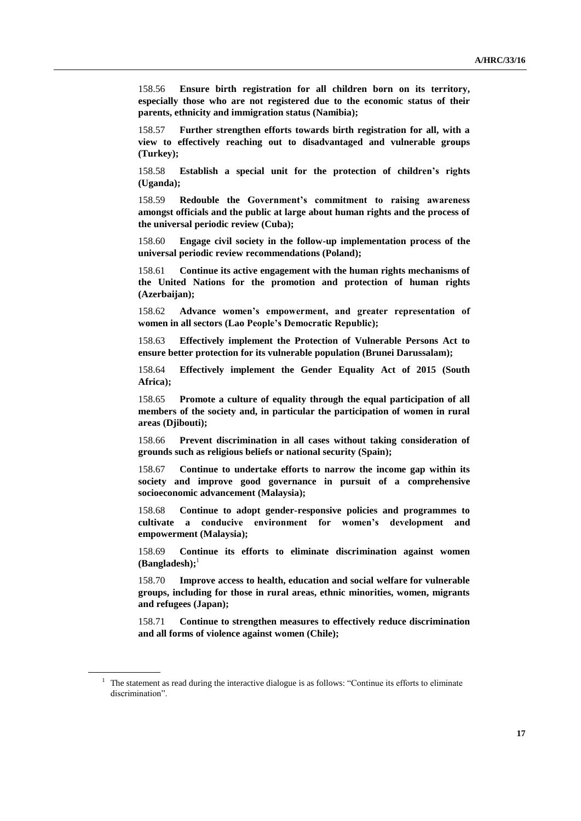158.56 **Ensure birth registration for all children born on its territory, especially those who are not registered due to the economic status of their parents, ethnicity and immigration status (Namibia);**

158.57 **Further strengthen efforts towards birth registration for all, with a view to effectively reaching out to disadvantaged and vulnerable groups (Turkey);**

158.58 **Establish a special unit for the protection of children's rights (Uganda);**

158.59 **Redouble the Government's commitment to raising awareness amongst officials and the public at large about human rights and the process of the universal periodic review (Cuba);**

158.60 **Engage civil society in the follow-up implementation process of the universal periodic review recommendations (Poland);**

158.61 **Continue its active engagement with the human rights mechanisms of the United Nations for the promotion and protection of human rights (Azerbaijan);**

158.62 **Advance women's empowerment, and greater representation of women in all sectors (Lao People's Democratic Republic);**

158.63 **Effectively implement the Protection of Vulnerable Persons Act to ensure better protection for its vulnerable population (Brunei Darussalam);** 

158.64 **Effectively implement the Gender Equality Act of 2015 (South Africa);**

158.65 **Promote a culture of equality through the equal participation of all members of the society and, in particular the participation of women in rural areas (Djibouti);**

158.66 **Prevent discrimination in all cases without taking consideration of grounds such as religious beliefs or national security (Spain);**

158.67 **Continue to undertake efforts to narrow the income gap within its society and improve good governance in pursuit of a comprehensive socioeconomic advancement (Malaysia);**

158.68 **Continue to adopt gender-responsive policies and programmes to cultivate a conducive environment for women's development and empowerment (Malaysia);**

158.69 **Continue its efforts to eliminate discrimination against women (Bangladesh);**<sup>1</sup>

158.70 **Improve access to health, education and social welfare for vulnerable groups, including for those in rural areas, ethnic minorities, women, migrants and refugees (Japan);**

158.71 **Continue to strengthen measures to effectively reduce discrimination and all forms of violence against women (Chile);**

<sup>&</sup>lt;sup>1</sup> The statement as read during the interactive dialogue is as follows: "Continue its efforts to eliminate discrimination".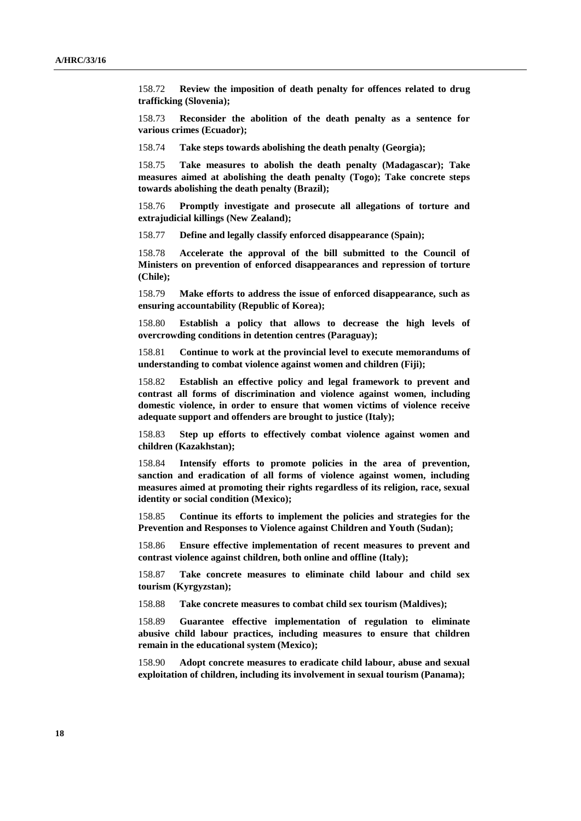158.72 **Review the imposition of death penalty for offences related to drug trafficking (Slovenia);**

158.73 **Reconsider the abolition of the death penalty as a sentence for various crimes (Ecuador);**

158.74 **Take steps towards abolishing the death penalty (Georgia);**

158.75 **Take measures to abolish the death penalty (Madagascar); Take measures aimed at abolishing the death penalty (Togo); Take concrete steps towards abolishing the death penalty (Brazil);**

158.76 **Promptly investigate and prosecute all allegations of torture and extrajudicial killings (New Zealand);** 

158.77 **Define and legally classify enforced disappearance (Spain);**

158.78 **Accelerate the approval of the bill submitted to the Council of Ministers on prevention of enforced disappearances and repression of torture (Chile);**

158.79 **Make efforts to address the issue of enforced disappearance, such as ensuring accountability (Republic of Korea);**

158.80 **Establish a policy that allows to decrease the high levels of overcrowding conditions in detention centres (Paraguay);**

158.81 **Continue to work at the provincial level to execute memorandums of understanding to combat violence against women and children (Fiji);**

158.82 **Establish an effective policy and legal framework to prevent and contrast all forms of discrimination and violence against women, including domestic violence, in order to ensure that women victims of violence receive adequate support and offenders are brought to justice (Italy);**

158.83 **Step up efforts to effectively combat violence against women and children (Kazakhstan);**

158.84 **Intensify efforts to promote policies in the area of prevention, sanction and eradication of all forms of violence against women, including measures aimed at promoting their rights regardless of its religion, race, sexual identity or social condition (Mexico);**

158.85 **Continue its efforts to implement the policies and strategies for the Prevention and Responses to Violence against Children and Youth (Sudan);**

158.86 **Ensure effective implementation of recent measures to prevent and contrast violence against children, both online and offline (Italy);**

158.87 **Take concrete measures to eliminate child labour and child sex tourism (Kyrgyzstan);**

158.88 **Take concrete measures to combat child sex tourism (Maldives);**

158.89 **Guarantee effective implementation of regulation to eliminate abusive child labour practices, including measures to ensure that children remain in the educational system (Mexico);**

158.90 **Adopt concrete measures to eradicate child labour, abuse and sexual exploitation of children, including its involvement in sexual tourism (Panama);**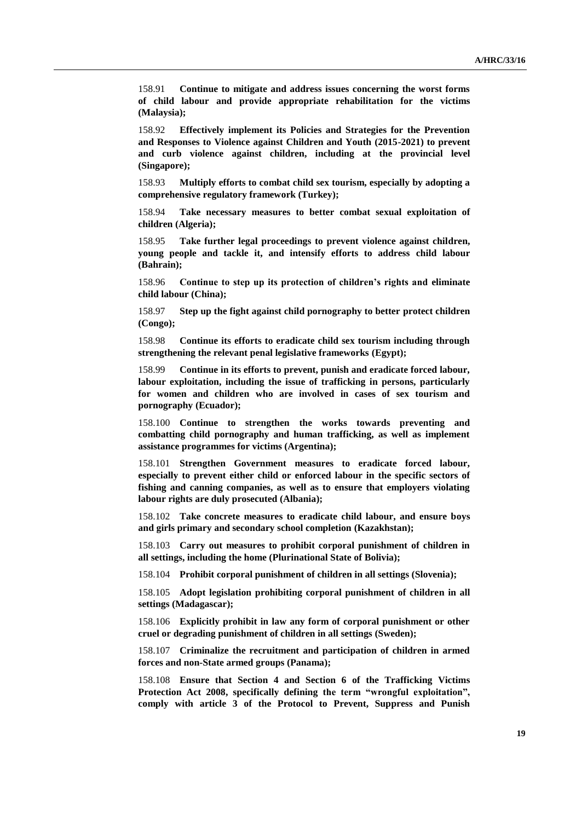158.91 **Continue to mitigate and address issues concerning the worst forms of child labour and provide appropriate rehabilitation for the victims (Malaysia);**

158.92 **Effectively implement its Policies and Strategies for the Prevention and Responses to Violence against Children and Youth (2015-2021) to prevent and curb violence against children, including at the provincial level (Singapore);**

158.93 **Multiply efforts to combat child sex tourism, especially by adopting a comprehensive regulatory framework (Turkey);**

158.94 **Take necessary measures to better combat sexual exploitation of children (Algeria);**

158.95 **Take further legal proceedings to prevent violence against children, young people and tackle it, and intensify efforts to address child labour (Bahrain);**

158.96 **Continue to step up its protection of children's rights and eliminate child labour (China);**

158.97 **Step up the fight against child pornography to better protect children (Congo);**

158.98 **Continue its efforts to eradicate child sex tourism including through strengthening the relevant penal legislative frameworks (Egypt);**

158.99 **Continue in its efforts to prevent, punish and eradicate forced labour, labour exploitation, including the issue of trafficking in persons, particularly for women and children who are involved in cases of sex tourism and pornography (Ecuador);**

158.100 **Continue to strengthen the works towards preventing and combatting child pornography and human trafficking, as well as implement assistance programmes for victims (Argentina);**

158.101 **Strengthen Government measures to eradicate forced labour, especially to prevent either child or enforced labour in the specific sectors of fishing and canning companies, as well as to ensure that employers violating labour rights are duly prosecuted (Albania);**

158.102 **Take concrete measures to eradicate child labour, and ensure boys and girls primary and secondary school completion (Kazakhstan);**

158.103 **Carry out measures to prohibit corporal punishment of children in all settings, including the home (Plurinational State of Bolivia);**

158.104 **Prohibit corporal punishment of children in all settings (Slovenia);**

158.105 **Adopt legislation prohibiting corporal punishment of children in all settings (Madagascar);**

158.106 **Explicitly prohibit in law any form of corporal punishment or other cruel or degrading punishment of children in all settings (Sweden);**

158.107 **Criminalize the recruitment and participation of children in armed forces and non-State armed groups (Panama);**

158.108 **Ensure that Section 4 and Section 6 of the Trafficking Victims Protection Act 2008, specifically defining the term "wrongful exploitation", comply with article 3 of the Protocol to Prevent, Suppress and Punish**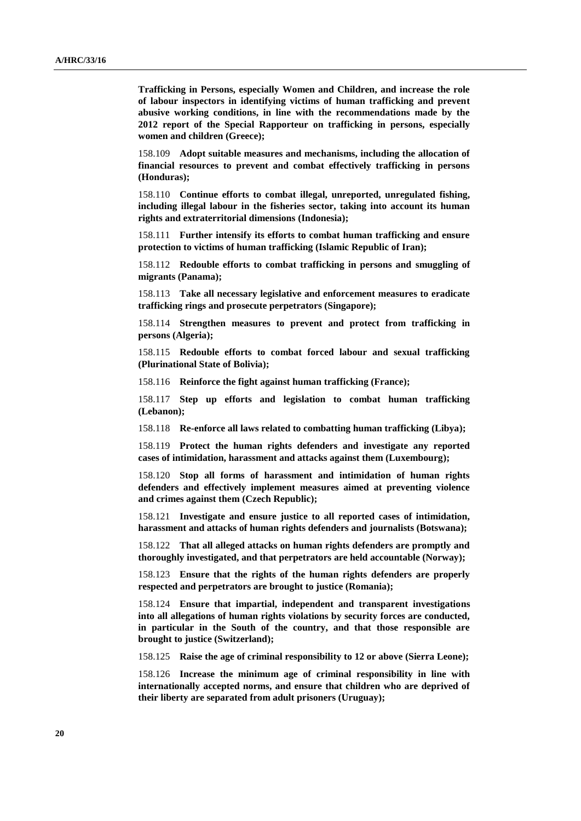**Trafficking in Persons, especially Women and Children, and increase the role of labour inspectors in identifying victims of human trafficking and prevent abusive working conditions, in line with the recommendations made by the 2012 report of the Special Rapporteur on trafficking in persons, especially women and children (Greece);**

158.109 **Adopt suitable measures and mechanisms, including the allocation of financial resources to prevent and combat effectively trafficking in persons (Honduras);**

158.110 **Continue efforts to combat illegal, unreported, unregulated fishing, including illegal labour in the fisheries sector, taking into account its human rights and extraterritorial dimensions (Indonesia);**

158.111 **Further intensify its efforts to combat human trafficking and ensure protection to victims of human trafficking (Islamic Republic of Iran);**

158.112 **Redouble efforts to combat trafficking in persons and smuggling of migrants (Panama);**

158.113 **Take all necessary legislative and enforcement measures to eradicate trafficking rings and prosecute perpetrators (Singapore);**

158.114 **Strengthen measures to prevent and protect from trafficking in persons (Algeria);**

158.115 **Redouble efforts to combat forced labour and sexual trafficking (Plurinational State of Bolivia);**

158.116 **Reinforce the fight against human trafficking (France);**

158.117 **Step up efforts and legislation to combat human trafficking (Lebanon);**

158.118 **Re-enforce all laws related to combatting human trafficking (Libya);**

158.119 **Protect the human rights defenders and investigate any reported cases of intimidation, harassment and attacks against them (Luxembourg);**

158.120 **Stop all forms of harassment and intimidation of human rights defenders and effectively implement measures aimed at preventing violence and crimes against them (Czech Republic);**

158.121 **Investigate and ensure justice to all reported cases of intimidation, harassment and attacks of human rights defenders and journalists (Botswana);**

158.122 **That all alleged attacks on human rights defenders are promptly and thoroughly investigated, and that perpetrators are held accountable (Norway);**

158.123 **Ensure that the rights of the human rights defenders are properly respected and perpetrators are brought to justice (Romania);**

158.124 **Ensure that impartial, independent and transparent investigations into all allegations of human rights violations by security forces are conducted, in particular in the South of the country, and that those responsible are brought to justice (Switzerland);**

158.125 **Raise the age of criminal responsibility to 12 or above (Sierra Leone);**

158.126 **Increase the minimum age of criminal responsibility in line with internationally accepted norms, and ensure that children who are deprived of their liberty are separated from adult prisoners (Uruguay);**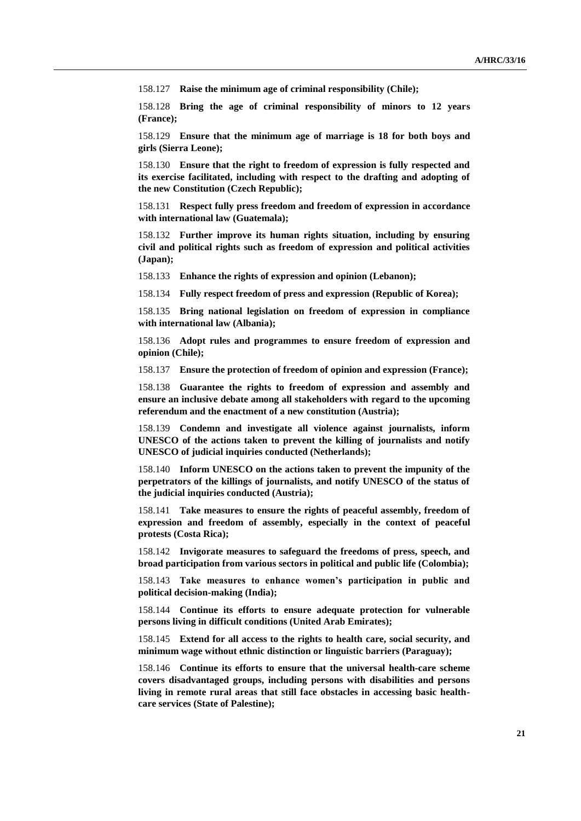158.127 **Raise the minimum age of criminal responsibility (Chile);**

158.128 **Bring the age of criminal responsibility of minors to 12 years (France);**

158.129 **Ensure that the minimum age of marriage is 18 for both boys and girls (Sierra Leone);**

158.130 **Ensure that the right to freedom of expression is fully respected and its exercise facilitated, including with respect to the drafting and adopting of the new Constitution (Czech Republic);**

158.131 **Respect fully press freedom and freedom of expression in accordance with international law (Guatemala);**

158.132 **Further improve its human rights situation, including by ensuring civil and political rights such as freedom of expression and political activities (Japan);**

158.133 **Enhance the rights of expression and opinion (Lebanon);**

158.134 **Fully respect freedom of press and expression (Republic of Korea);**

158.135 **Bring national legislation on freedom of expression in compliance with international law (Albania);**

158.136 **Adopt rules and programmes to ensure freedom of expression and opinion (Chile);**

158.137 **Ensure the protection of freedom of opinion and expression (France);**

158.138 **Guarantee the rights to freedom of expression and assembly and ensure an inclusive debate among all stakeholders with regard to the upcoming referendum and the enactment of a new constitution (Austria);** 

158.139 **Condemn and investigate all violence against journalists, inform UNESCO of the actions taken to prevent the killing of journalists and notify UNESCO of judicial inquiries conducted (Netherlands);**

158.140 **Inform UNESCO on the actions taken to prevent the impunity of the perpetrators of the killings of journalists, and notify UNESCO of the status of the judicial inquiries conducted (Austria);**

158.141 **Take measures to ensure the rights of peaceful assembly, freedom of expression and freedom of assembly, especially in the context of peaceful protests (Costa Rica);**

158.142 **Invigorate measures to safeguard the freedoms of press, speech, and broad participation from various sectors in political and public life (Colombia);**

158.143 **Take measures to enhance women's participation in public and political decision-making (India);**

158.144 **Continue its efforts to ensure adequate protection for vulnerable persons living in difficult conditions (United Arab Emirates);**

158.145 **Extend for all access to the rights to health care, social security, and minimum wage without ethnic distinction or linguistic barriers (Paraguay);**

158.146 **Continue its efforts to ensure that the universal health-care scheme covers disadvantaged groups, including persons with disabilities and persons living in remote rural areas that still face obstacles in accessing basic healthcare services (State of Palestine);**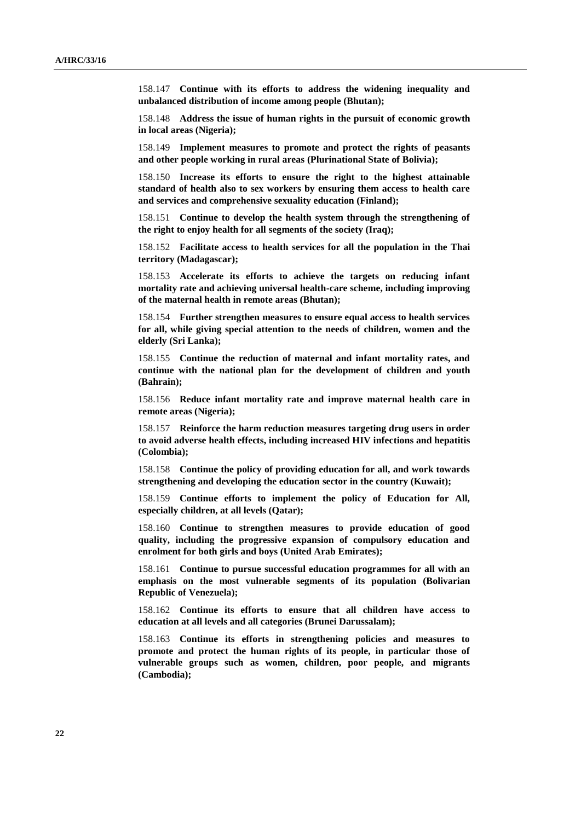158.147 **Continue with its efforts to address the widening inequality and unbalanced distribution of income among people (Bhutan);**

158.148 **Address the issue of human rights in the pursuit of economic growth in local areas (Nigeria);**

158.149 **Implement measures to promote and protect the rights of peasants and other people working in rural areas (Plurinational State of Bolivia);**

158.150 **Increase its efforts to ensure the right to the highest attainable standard of health also to sex workers by ensuring them access to health care and services and comprehensive sexuality education (Finland);**

158.151 **Continue to develop the health system through the strengthening of the right to enjoy health for all segments of the society (Iraq);**

158.152 **Facilitate access to health services for all the population in the Thai territory (Madagascar);**

158.153 **Accelerate its efforts to achieve the targets on reducing infant mortality rate and achieving universal health-care scheme, including improving of the maternal health in remote areas (Bhutan);**

158.154 **Further strengthen measures to ensure equal access to health services for all, while giving special attention to the needs of children, women and the elderly (Sri Lanka);**

158.155 **Continue the reduction of maternal and infant mortality rates, and continue with the national plan for the development of children and youth (Bahrain);**

158.156 **Reduce infant mortality rate and improve maternal health care in remote areas (Nigeria);**

158.157 **Reinforce the harm reduction measures targeting drug users in order to avoid adverse health effects, including increased HIV infections and hepatitis (Colombia);**

158.158 **Continue the policy of providing education for all, and work towards strengthening and developing the education sector in the country (Kuwait);**

158.159 **Continue efforts to implement the policy of Education for All, especially children, at all levels (Qatar);**

158.160 **Continue to strengthen measures to provide education of good quality, including the progressive expansion of compulsory education and enrolment for both girls and boys (United Arab Emirates);**

158.161 **Continue to pursue successful education programmes for all with an emphasis on the most vulnerable segments of its population (Bolivarian Republic of Venezuela);**

158.162 **Continue its efforts to ensure that all children have access to education at all levels and all categories (Brunei Darussalam);**

158.163 **Continue its efforts in strengthening policies and measures to promote and protect the human rights of its people, in particular those of vulnerable groups such as women, children, poor people, and migrants (Cambodia);**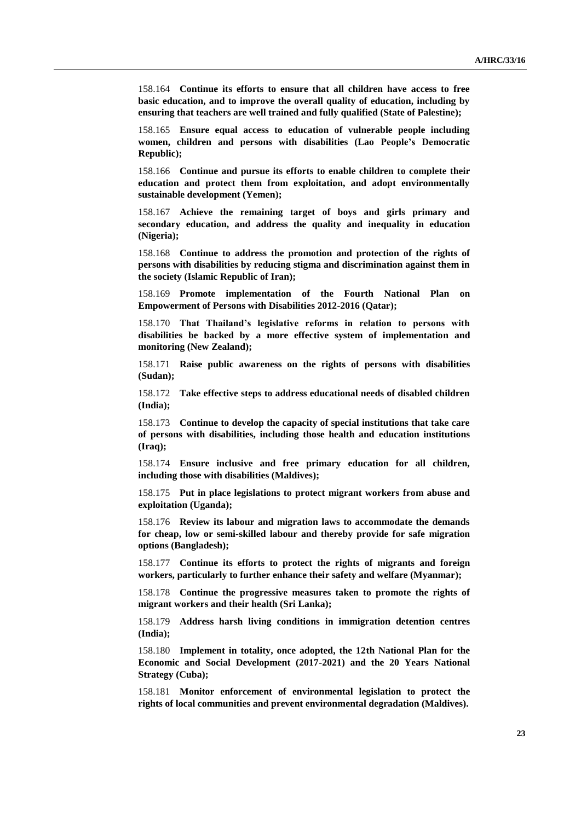158.164 **Continue its efforts to ensure that all children have access to free basic education, and to improve the overall quality of education, including by ensuring that teachers are well trained and fully qualified (State of Palestine);**

158.165 **Ensure equal access to education of vulnerable people including women, children and persons with disabilities (Lao People's Democratic Republic);**

158.166 **Continue and pursue its efforts to enable children to complete their education and protect them from exploitation, and adopt environmentally sustainable development (Yemen);**

158.167 **Achieve the remaining target of boys and girls primary and secondary education, and address the quality and inequality in education (Nigeria);**

158.168 **Continue to address the promotion and protection of the rights of persons with disabilities by reducing stigma and discrimination against them in the society (Islamic Republic of Iran);**

158.169 **Promote implementation of the Fourth National Plan on Empowerment of Persons with Disabilities 2012-2016 (Qatar);**

158.170 **That Thailand's legislative reforms in relation to persons with disabilities be backed by a more effective system of implementation and monitoring (New Zealand);**

158.171 **Raise public awareness on the rights of persons with disabilities (Sudan);**

158.172 **Take effective steps to address educational needs of disabled children (India);**

158.173 **Continue to develop the capacity of special institutions that take care of persons with disabilities, including those health and education institutions (Iraq);**

158.174 **Ensure inclusive and free primary education for all children, including those with disabilities (Maldives);**

158.175 **Put in place legislations to protect migrant workers from abuse and exploitation (Uganda);**

158.176 **Review its labour and migration laws to accommodate the demands for cheap, low or semi-skilled labour and thereby provide for safe migration options (Bangladesh);**

158.177 **Continue its efforts to protect the rights of migrants and foreign workers, particularly to further enhance their safety and welfare (Myanmar);**

158.178 **Continue the progressive measures taken to promote the rights of migrant workers and their health (Sri Lanka);**

158.179 **Address harsh living conditions in immigration detention centres (India);**

158.180 **Implement in totality, once adopted, the 12th National Plan for the Economic and Social Development (2017-2021) and the 20 Years National Strategy (Cuba);**

158.181 **Monitor enforcement of environmental legislation to protect the rights of local communities and prevent environmental degradation (Maldives).**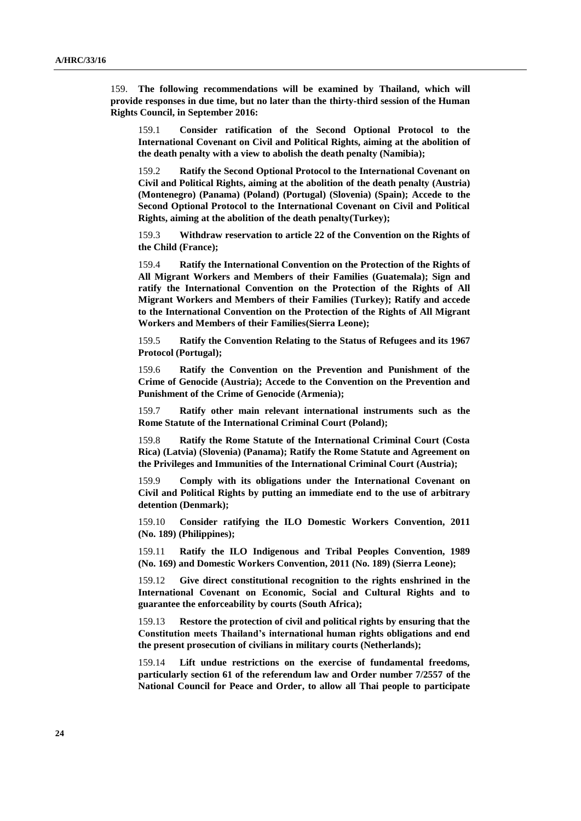159. **The following recommendations will be examined by Thailand, which will provide responses in due time, but no later than the thirty-third session of the Human Rights Council, in September 2016:**

159.1 **Consider ratification of the Second Optional Protocol to the International Covenant on Civil and Political Rights, aiming at the abolition of the death penalty with a view to abolish the death penalty (Namibia);**

159.2 **Ratify the Second Optional Protocol to the International Covenant on Civil and Political Rights, aiming at the abolition of the death penalty (Austria) (Montenegro) (Panama) (Poland) (Portugal) (Slovenia) (Spain); Accede to the Second Optional Protocol to the International Covenant on Civil and Political Rights, aiming at the abolition of the death penalty(Turkey);**

159.3 **Withdraw reservation to article 22 of the Convention on the Rights of the Child (France);**

159.4 **Ratify the International Convention on the Protection of the Rights of All Migrant Workers and Members of their Families (Guatemala); Sign and ratify the International Convention on the Protection of the Rights of All Migrant Workers and Members of their Families (Turkey); Ratify and accede to the International Convention on the Protection of the Rights of All Migrant Workers and Members of their Families(Sierra Leone);** 

159.5 **Ratify the Convention Relating to the Status of Refugees and its 1967 Protocol (Portugal);**

159.6 **Ratify the Convention on the Prevention and Punishment of the Crime of Genocide (Austria); Accede to the Convention on the Prevention and Punishment of the Crime of Genocide (Armenia);**

159.7 **Ratify other main relevant international instruments such as the Rome Statute of the International Criminal Court (Poland);**

159.8 **Ratify the Rome Statute of the International Criminal Court (Costa Rica) (Latvia) (Slovenia) (Panama); Ratify the Rome Statute and Agreement on the Privileges and Immunities of the International Criminal Court (Austria);**

159.9 **Comply with its obligations under the International Covenant on Civil and Political Rights by putting an immediate end to the use of arbitrary detention (Denmark);**

159.10 **Consider ratifying the ILO Domestic Workers Convention, 2011 (No. 189) (Philippines);**

159.11 **Ratify the ILO Indigenous and Tribal Peoples Convention, 1989 (No. 169) and Domestic Workers Convention, 2011 (No. 189) (Sierra Leone);**

159.12 **Give direct constitutional recognition to the rights enshrined in the International Covenant on Economic, Social and Cultural Rights and to guarantee the enforceability by courts (South Africa);** 

159.13 **Restore the protection of civil and political rights by ensuring that the Constitution meets Thailand's international human rights obligations and end the present prosecution of civilians in military courts (Netherlands);**

159.14 **Lift undue restrictions on the exercise of fundamental freedoms, particularly section 61 of the referendum law and Order number 7/2557 of the National Council for Peace and Order, to allow all Thai people to participate**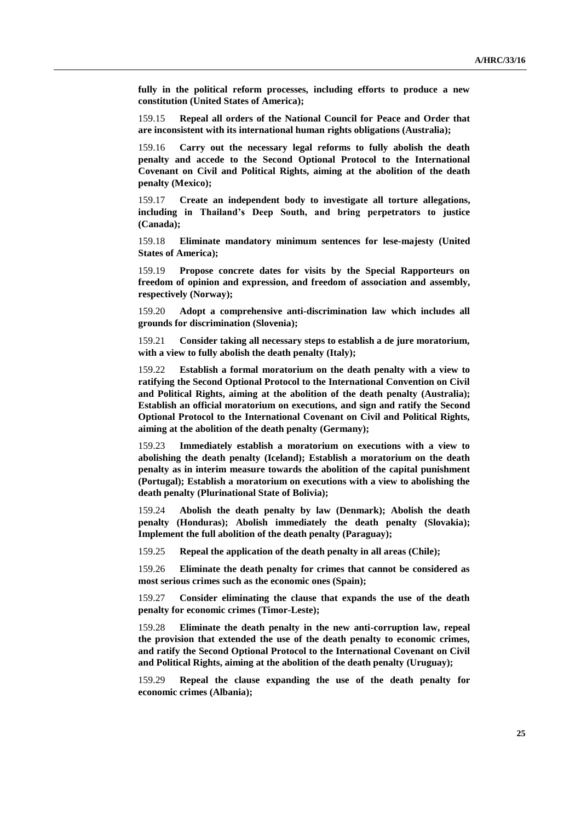**fully in the political reform processes, including efforts to produce a new constitution (United States of America);** 

159.15 **Repeal all orders of the National Council for Peace and Order that are inconsistent with its international human rights obligations (Australia);**

159.16 **Carry out the necessary legal reforms to fully abolish the death penalty and accede to the Second Optional Protocol to the International Covenant on Civil and Political Rights, aiming at the abolition of the death penalty (Mexico);**

159.17 **Create an independent body to investigate all torture allegations, including in Thailand's Deep South, and bring perpetrators to justice (Canada);**

159.18 **Eliminate mandatory minimum sentences for lese-majesty (United States of America);**

159.19 **Propose concrete dates for visits by the Special Rapporteurs on freedom of opinion and expression, and freedom of association and assembly, respectively (Norway);**

159.20 **Adopt a comprehensive anti-discrimination law which includes all grounds for discrimination (Slovenia);**

159.21 **Consider taking all necessary steps to establish a de jure moratorium,**  with a view to fully abolish the death penalty (Italy);

159.22 **Establish a formal moratorium on the death penalty with a view to ratifying the Second Optional Protocol to the International Convention on Civil and Political Rights, aiming at the abolition of the death penalty (Australia); Establish an official moratorium on executions, and sign and ratify the Second Optional Protocol to the International Covenant on Civil and Political Rights, aiming at the abolition of the death penalty (Germany);**

159.23 **Immediately establish a moratorium on executions with a view to abolishing the death penalty (Iceland); Establish a moratorium on the death penalty as in interim measure towards the abolition of the capital punishment (Portugal); Establish a moratorium on executions with a view to abolishing the death penalty (Plurinational State of Bolivia);**

159.24 **Abolish the death penalty by law (Denmark); Abolish the death penalty (Honduras); Abolish immediately the death penalty (Slovakia); Implement the full abolition of the death penalty (Paraguay);** 

159.25 **Repeal the application of the death penalty in all areas (Chile);**

159.26 **Eliminate the death penalty for crimes that cannot be considered as most serious crimes such as the economic ones (Spain);**

159.27 **Consider eliminating the clause that expands the use of the death penalty for economic crimes (Timor-Leste);**

159.28 **Eliminate the death penalty in the new anti-corruption law, repeal the provision that extended the use of the death penalty to economic crimes, and ratify the Second Optional Protocol to the International Covenant on Civil and Political Rights, aiming at the abolition of the death penalty (Uruguay);**

159.29 **Repeal the clause expanding the use of the death penalty for economic crimes (Albania);**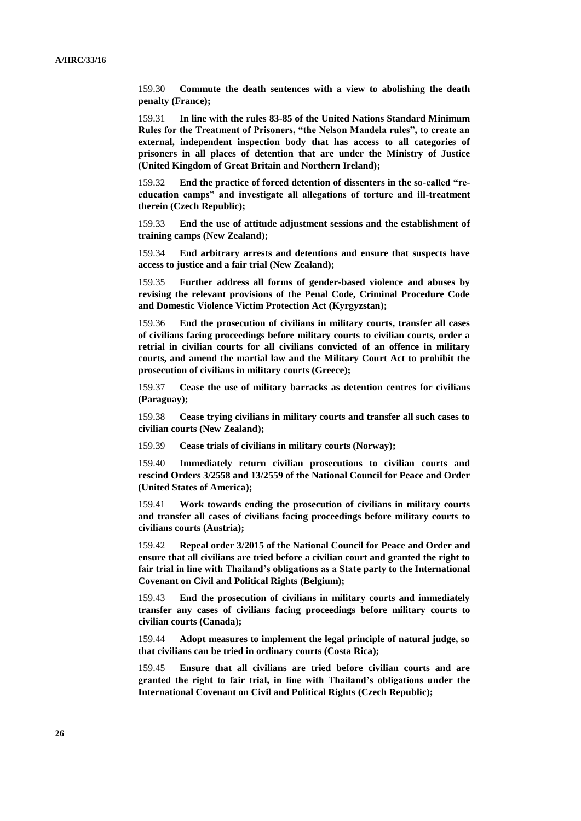159.30 **Commute the death sentences with a view to abolishing the death penalty (France);**

159.31 **In line with the rules 83-85 of the United Nations Standard Minimum Rules for the Treatment of Prisoners, "the Nelson Mandela rules", to create an external, independent inspection body that has access to all categories of prisoners in all places of detention that are under the Ministry of Justice (United Kingdom of Great Britain and Northern Ireland);**

159.32 **End the practice of forced detention of dissenters in the so-called "reeducation camps" and investigate all allegations of torture and ill-treatment therein (Czech Republic);**

159.33 **End the use of attitude adjustment sessions and the establishment of training camps (New Zealand);**

159.34 **End arbitrary arrests and detentions and ensure that suspects have access to justice and a fair trial (New Zealand);**

159.35 **Further address all forms of gender-based violence and abuses by revising the relevant provisions of the Penal Code, Criminal Procedure Code and Domestic Violence Victim Protection Act (Kyrgyzstan);**

159.36 **End the prosecution of civilians in military courts, transfer all cases of civilians facing proceedings before military courts to civilian courts, order a retrial in civilian courts for all civilians convicted of an offence in military courts, and amend the martial law and the Military Court Act to prohibit the prosecution of civilians in military courts (Greece);**

159.37 **Cease the use of military barracks as detention centres for civilians (Paraguay);**

159.38 **Cease trying civilians in military courts and transfer all such cases to civilian courts (New Zealand);**

159.39 **Cease trials of civilians in military courts (Norway);** 

159.40 **Immediately return civilian prosecutions to civilian courts and rescind Orders 3/2558 and 13/2559 of the National Council for Peace and Order (United States of America);**

159.41 **Work towards ending the prosecution of civilians in military courts and transfer all cases of civilians facing proceedings before military courts to civilians courts (Austria);**

159.42 **Repeal order 3/2015 of the National Council for Peace and Order and ensure that all civilians are tried before a civilian court and granted the right to fair trial in line with Thailand's obligations as a State party to the International Covenant on Civil and Political Rights (Belgium);**

159.43 **End the prosecution of civilians in military courts and immediately transfer any cases of civilians facing proceedings before military courts to civilian courts (Canada);**

159.44 **Adopt measures to implement the legal principle of natural judge, so that civilians can be tried in ordinary courts (Costa Rica);**

159.45 **Ensure that all civilians are tried before civilian courts and are granted the right to fair trial, in line with Thailand's obligations under the International Covenant on Civil and Political Rights (Czech Republic);**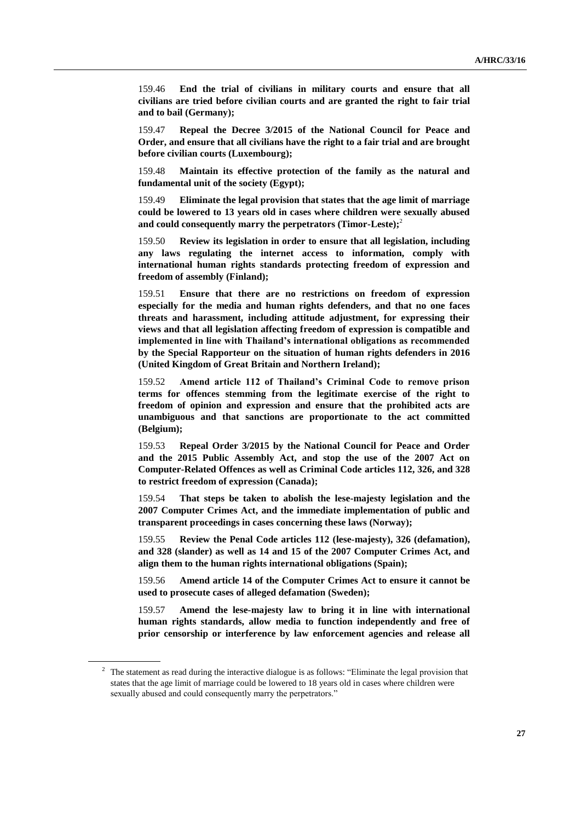159.46 **End the trial of civilians in military courts and ensure that all civilians are tried before civilian courts and are granted the right to fair trial and to bail (Germany);**

159.47 **Repeal the Decree 3/2015 of the National Council for Peace and Order, and ensure that all civilians have the right to a fair trial and are brought before civilian courts (Luxembourg);**

159.48 **Maintain its effective protection of the family as the natural and fundamental unit of the society (Egypt);**

159.49 **Eliminate the legal provision that states that the age limit of marriage could be lowered to 13 years old in cases where children were sexually abused and could consequently marry the perpetrators (Timor-Leste);**<sup>2</sup>

159.50 **Review its legislation in order to ensure that all legislation, including any laws regulating the internet access to information, comply with international human rights standards protecting freedom of expression and freedom of assembly (Finland);**

159.51 **Ensure that there are no restrictions on freedom of expression especially for the media and human rights defenders, and that no one faces threats and harassment, including attitude adjustment, for expressing their views and that all legislation affecting freedom of expression is compatible and implemented in line with Thailand's international obligations as recommended by the Special Rapporteur on the situation of human rights defenders in 2016 (United Kingdom of Great Britain and Northern Ireland);** 

159.52 **Amend article 112 of Thailand's Criminal Code to remove prison terms for offences stemming from the legitimate exercise of the right to freedom of opinion and expression and ensure that the prohibited acts are unambiguous and that sanctions are proportionate to the act committed (Belgium);**

159.53 **Repeal Order 3/2015 by the National Council for Peace and Order and the 2015 Public Assembly Act, and stop the use of the 2007 Act on Computer-Related Offences as well as Criminal Code articles 112, 326, and 328 to restrict freedom of expression (Canada);**

159.54 **That steps be taken to abolish the lese-majesty legislation and the 2007 Computer Crimes Act, and the immediate implementation of public and transparent proceedings in cases concerning these laws (Norway);**

159.55 **Review the Penal Code articles 112 (lese-majesty), 326 (defamation), and 328 (slander) as well as 14 and 15 of the 2007 Computer Crimes Act, and align them to the human rights international obligations (Spain);**

159.56 **Amend article 14 of the Computer Crimes Act to ensure it cannot be used to prosecute cases of alleged defamation (Sweden);**

159.57 **Amend the lese-majesty law to bring it in line with international human rights standards, allow media to function independently and free of prior censorship or interference by law enforcement agencies and release all** 

<sup>&</sup>lt;sup>2</sup> The statement as read during the interactive dialogue is as follows: "Eliminate the legal provision that states that the age limit of marriage could be lowered to 18 years old in cases where children were sexually abused and could consequently marry the perpetrators."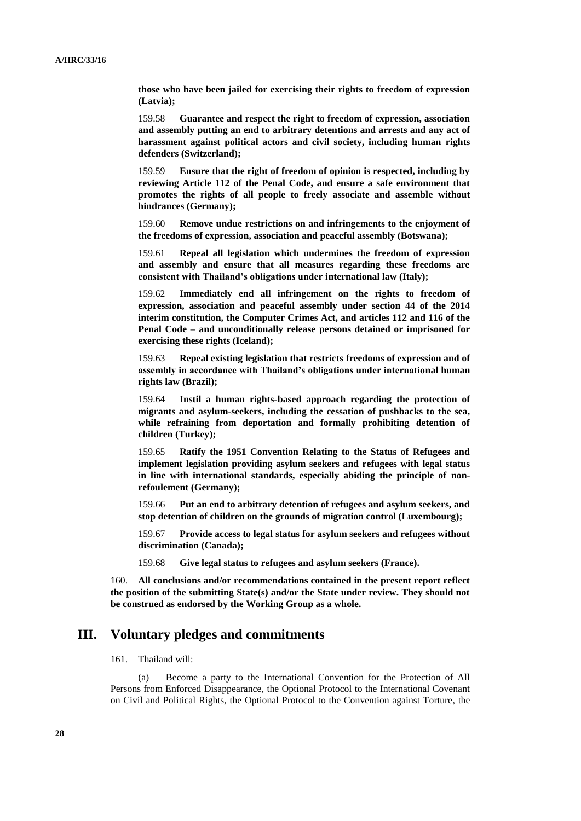**those who have been jailed for exercising their rights to freedom of expression (Latvia);**

159.58 **Guarantee and respect the right to freedom of expression, association and assembly putting an end to arbitrary detentions and arrests and any act of harassment against political actors and civil society, including human rights defenders (Switzerland);**

159.59 **Ensure that the right of freedom of opinion is respected, including by reviewing Article 112 of the Penal Code, and ensure a safe environment that promotes the rights of all people to freely associate and assemble without hindrances (Germany);**

159.60 **Remove undue restrictions on and infringements to the enjoyment of the freedoms of expression, association and peaceful assembly (Botswana);**

159.61 **Repeal all legislation which undermines the freedom of expression and assembly and ensure that all measures regarding these freedoms are consistent with Thailand's obligations under international law (Italy);**

159.62 **Immediately end all infringement on the rights to freedom of expression, association and peaceful assembly under section 44 of the 2014 interim constitution, the Computer Crimes Act, and articles 112 and 116 of the Penal Code – and unconditionally release persons detained or imprisoned for exercising these rights (Iceland);**

159.63 **Repeal existing legislation that restricts freedoms of expression and of assembly in accordance with Thailand's obligations under international human rights law (Brazil);** 

159.64 **Instil a human rights-based approach regarding the protection of migrants and asylum-seekers, including the cessation of pushbacks to the sea, while refraining from deportation and formally prohibiting detention of children (Turkey);**

159.65 **Ratify the 1951 Convention Relating to the Status of Refugees and implement legislation providing asylum seekers and refugees with legal status in line with international standards, especially abiding the principle of nonrefoulement (Germany);**

159.66 **Put an end to arbitrary detention of refugees and asylum seekers, and stop detention of children on the grounds of migration control (Luxembourg);**

159.67 **Provide access to legal status for asylum seekers and refugees without discrimination (Canada);**

159.68 **Give legal status to refugees and asylum seekers (France).**

160. **All conclusions and/or recommendations contained in the present report reflect the position of the submitting State(s) and/or the State under review. They should not be construed as endorsed by the Working Group as a whole.**

### **III. Voluntary pledges and commitments**

#### 161. Thailand will:

(a) Become a party to the International Convention for the Protection of All Persons from Enforced Disappearance, the Optional Protocol to the International Covenant on Civil and Political Rights, the Optional Protocol to the Convention against Torture, the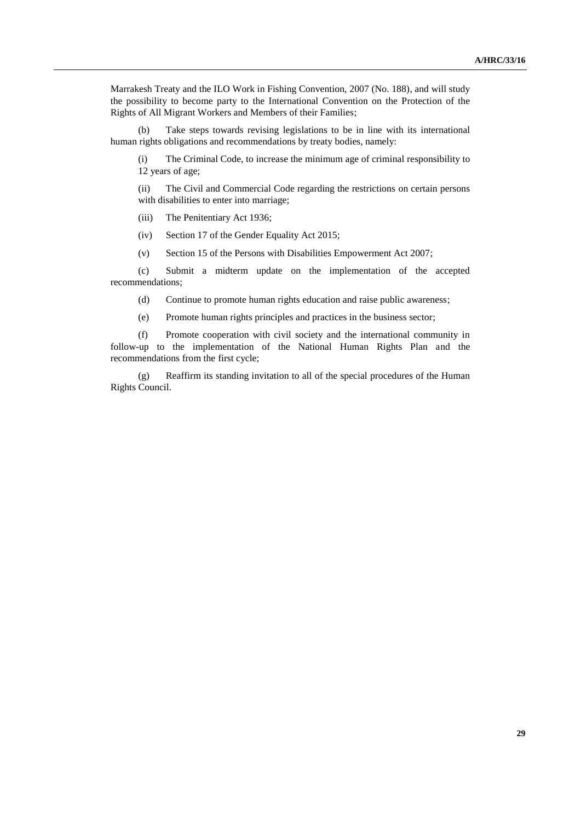Marrakesh Treaty and the ILO Work in Fishing Convention, 2007 (No. 188), and will study the possibility to become party to the International Convention on the Protection of the Rights of All Migrant Workers and Members of their Families;

(b) Take steps towards revising legislations to be in line with its international human rights obligations and recommendations by treaty bodies, namely:

(i) The Criminal Code, to increase the minimum age of criminal responsibility to 12 years of age;

(ii) The Civil and Commercial Code regarding the restrictions on certain persons with disabilities to enter into marriage;

(iii) The Penitentiary Act 1936;

(iv) Section 17 of the Gender Equality Act 2015;

(v) Section 15 of the Persons with Disabilities Empowerment Act 2007;

(c) Submit a midterm update on the implementation of the accepted recommendations;

(d) Continue to promote human rights education and raise public awareness;

(e) Promote human rights principles and practices in the business sector;

(f) Promote cooperation with civil society and the international community in follow-up to the implementation of the National Human Rights Plan and the recommendations from the first cycle;

(g) Reaffirm its standing invitation to all of the special procedures of the Human Rights Council.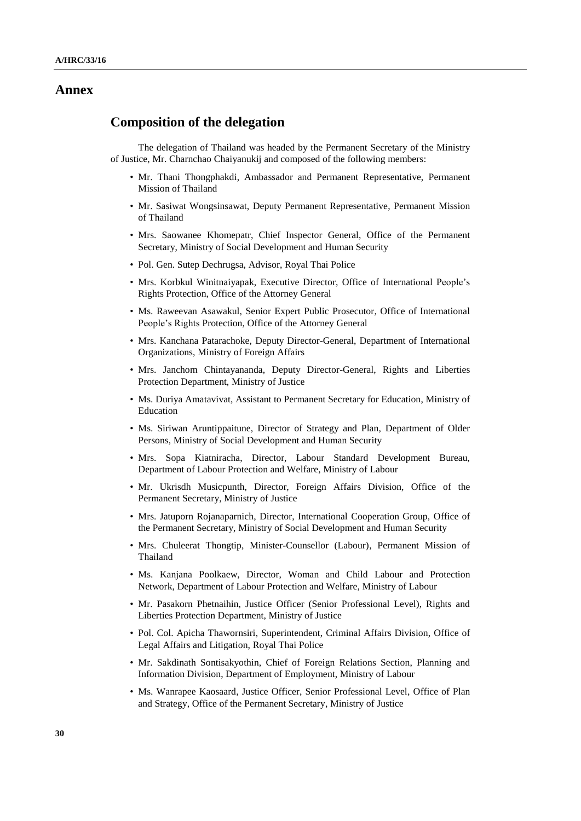#### **Annex**

### **Composition of the delegation**

The delegation of Thailand was headed by the Permanent Secretary of the Ministry of Justice, Mr. Charnchao Chaiyanukij and composed of the following members:

- Mr. Thani Thongphakdi, Ambassador and Permanent Representative, Permanent Mission of Thailand
- Mr. Sasiwat Wongsinsawat, Deputy Permanent Representative, Permanent Mission of Thailand
- Mrs. Saowanee Khomepatr, Chief Inspector General, Office of the Permanent Secretary, Ministry of Social Development and Human Security
- Pol. Gen. Sutep Dechrugsa, Advisor, Royal Thai Police
- Mrs. Korbkul Winitnaiyapak, Executive Director, Office of International People's Rights Protection, Office of the Attorney General
- Ms. Raweevan Asawakul, Senior Expert Public Prosecutor, Office of International People's Rights Protection, Office of the Attorney General
- Mrs. Kanchana Patarachoke, Deputy Director-General, Department of International Organizations, Ministry of Foreign Affairs
- Mrs. Janchom Chintayananda, Deputy Director-General, Rights and Liberties Protection Department, Ministry of Justice
- Ms. Duriya Amatavivat, Assistant to Permanent Secretary for Education, Ministry of Education
- Ms. Siriwan Aruntippaitune, Director of Strategy and Plan, Department of Older Persons, Ministry of Social Development and Human Security
- Mrs. Sopa Kiatniracha, Director, Labour Standard Development Bureau, Department of Labour Protection and Welfare, Ministry of Labour
- Mr. Ukrisdh Musicpunth, Director, Foreign Affairs Division, Office of the Permanent Secretary, Ministry of Justice
- Mrs. Jatuporn Rojanaparnich, Director, International Cooperation Group, Office of the Permanent Secretary, Ministry of Social Development and Human Security
- Mrs. Chuleerat Thongtip, Minister-Counsellor (Labour), Permanent Mission of Thailand
- Ms. Kanjana Poolkaew, Director, Woman and Child Labour and Protection Network, Department of Labour Protection and Welfare, Ministry of Labour
- Mr. Pasakorn Phetnaihin, Justice Officer (Senior Professional Level), Rights and Liberties Protection Department, Ministry of Justice
- Pol. Col. Apicha Thawornsiri, Superintendent, Criminal Affairs Division, Office of Legal Affairs and Litigation, Royal Thai Police
- Mr. Sakdinath Sontisakyothin, Chief of Foreign Relations Section, Planning and Information Division, Department of Employment, Ministry of Labour
- Ms. Wanrapee Kaosaard, Justice Officer, Senior Professional Level, Office of Plan and Strategy, Office of the Permanent Secretary, Ministry of Justice